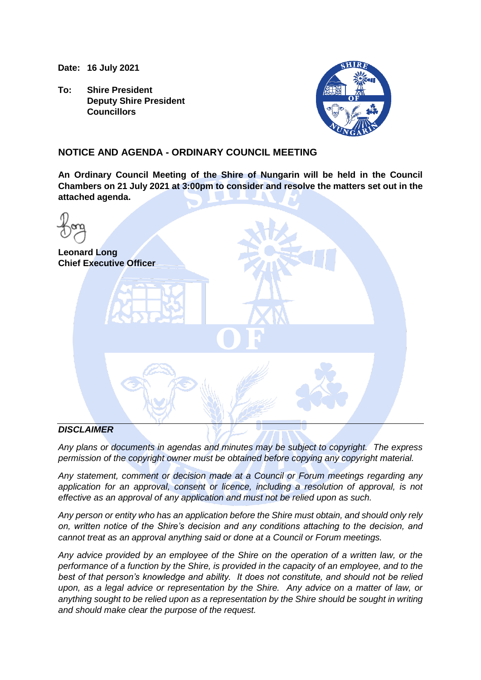**Date: 16 July 2021**

**To: Shire President Deputy Shire President Councillors**



# **NOTICE AND AGENDA - ORDINARY COUNCIL MEETING**

**An Ordinary Council Meeting of the Shire of Nungarin will be held in the Council Chambers on 21 July 2021 at 3:00pm to consider and resolve the matters set out in the attached agenda.**

| <b>Leonard Long</b> | <b>Chief Executive Officer</b> |  |
|---------------------|--------------------------------|--|
|                     | $\blacksquare$                 |  |
|                     |                                |  |
| DICCI               |                                |  |

# *DISCLAIMER*

*Any plans or documents in agendas and minutes may be subject to copyright. The express permission of the copyright owner must be obtained before copying any copyright material.*

*Any statement, comment or decision made at a Council or Forum meetings regarding any application for an approval, consent or licence, including a resolution of approval, is not effective as an approval of any application and must not be relied upon as such.*

*Any person or entity who has an application before the Shire must obtain, and should only rely on, written notice of the Shire's decision and any conditions attaching to the decision, and cannot treat as an approval anything said or done at a Council or Forum meetings.*

*Any advice provided by an employee of the Shire on the operation of a written law, or the performance of a function by the Shire, is provided in the capacity of an employee, and to the best of that person's knowledge and ability. It does not constitute, and should not be relied upon, as a legal advice or representation by the Shire. Any advice on a matter of law, or anything sought to be relied upon as a representation by the Shire should be sought in writing and should make clear the purpose of the request.*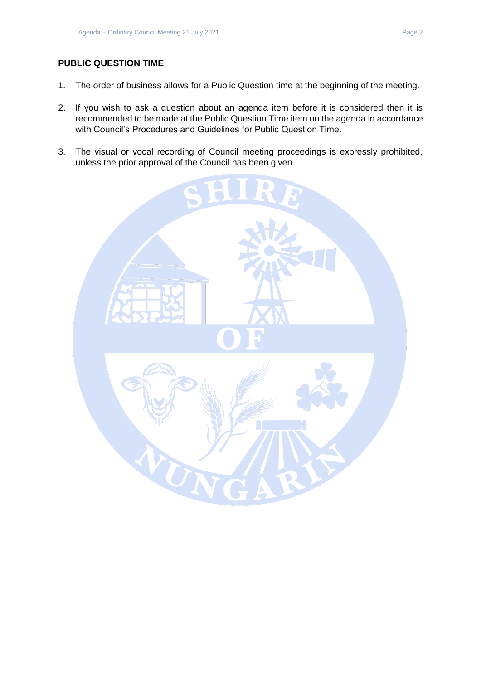# **PUBLIC QUESTION TIME**

- 1. The order of business allows for a Public Question time at the beginning of the meeting.
- 2. If you wish to ask a question about an agenda item before it is considered then it is recommended to be made at the Public Question Time item on the agenda in accordance with Council's Procedures and Guidelines for Public Question Time.
- 3. The visual or vocal recording of Council meeting proceedings is expressly prohibited, unless the prior approval of the Council has been given.

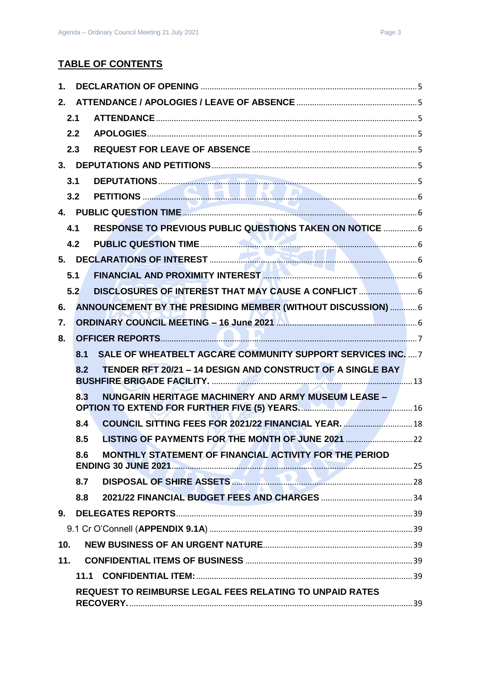| 1.  |      |                                                                     |  |
|-----|------|---------------------------------------------------------------------|--|
| 2.  |      |                                                                     |  |
|     | 2.1  |                                                                     |  |
|     | 2.2  |                                                                     |  |
|     | 2.3  |                                                                     |  |
|     |      |                                                                     |  |
|     | 3.1  |                                                                     |  |
|     | 3.2  |                                                                     |  |
|     |      |                                                                     |  |
|     | 4.1  | RESPONSE TO PREVIOUS PUBLIC QUESTIONS TAKEN ON NOTICE  6            |  |
|     | 4.2  |                                                                     |  |
|     |      |                                                                     |  |
|     | 5.1  | FINANCIAL AND PROXIMITY INTEREST <b>MANUAL AND TENNISHIPS</b> 6     |  |
|     | 5.2  | DISCLOSURES OF INTEREST THAT MAY CAUSE A CONFLICT                   |  |
| 6.  |      | ANNOUNCEMENT BY THE PRESIDING MEMBER (WITHOUT DISCUSSION)  6        |  |
| 7.  |      | ORDINARY COUNCIL MEETING - 16 June 2021 Manuscriptus 1999 1999      |  |
| 8.  |      |                                                                     |  |
|     |      |                                                                     |  |
|     | 8.1  | <b>SALE OF WHEATBELT AGCARE COMMUNITY SUPPORT SERVICES INC.</b> 7   |  |
|     | 8.2  | TENDER RFT 20/21 - 14 DESIGN AND CONSTRUCT OF A SINGLE BAY          |  |
|     | 8.3  | NUNGARIN HERITAGE MACHINERY AND ARMY MUSEUM LEASE -                 |  |
|     | 8.4  | COUNCIL SITTING FEES FOR 2021/22 FINANCIAL YEAR.  18                |  |
|     | 8.5  |                                                                     |  |
|     | 8.6  | MONTHLY STATEMENT OF FINANCIAL ACTIVITY FOR THE PERIOD              |  |
|     | 8.7  | DISPOSAL OF SHIRE ASSETS <b>CONTROLLER ASSETS CONTROLLER ASSETS</b> |  |
|     | 8.8  |                                                                     |  |
| 9.  |      |                                                                     |  |
|     |      |                                                                     |  |
| 10. |      |                                                                     |  |
| 11. |      |                                                                     |  |
|     | 11.1 |                                                                     |  |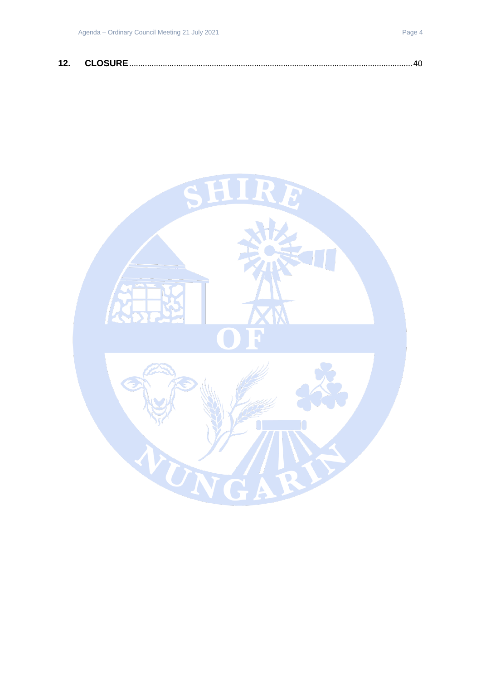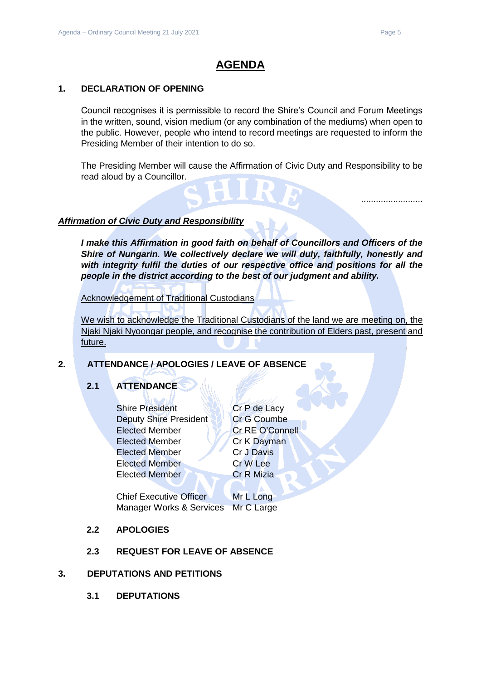.........................

# **AGENDA**

# <span id="page-4-0"></span>**1. DECLARATION OF OPENING**

Council recognises it is permissible to record the Shire's Council and Forum Meetings in the written, sound, vision medium (or any combination of the mediums) when open to the public. However, people who intend to record meetings are requested to inform the Presiding Member of their intention to do so.

The Presiding Member will cause the Affirmation of Civic Duty and Responsibility to be read aloud by a Councillor.

### *Affirmation of Civic Duty and Responsibility*

*I make this Affirmation in good faith on behalf of Councillors and Officers of the Shire of Nungarin. We collectively declare we will duly, faithfully, honestly and with integrity fulfil the duties of our respective office and positions for all the people in the district according to the best of our judgment and ability.*

Acknowledgement of Traditional Custodians

We wish to acknowledge the Traditional Custodians of the land we are meeting on, the Njaki Njaki Nyoongar people, and recognise the contribution of Elders past, present and future.

# <span id="page-4-2"></span><span id="page-4-1"></span>**2. ATTENDANCE / APOLOGIES / LEAVE OF ABSENCE**

# **2.1 ATTENDANCE**

Shire President Cr P de Lacy Deputy Shire President Cr G Coumbe Elected Member Cr RE O'Connell Elected Member Cr K Dayman Elected Member Cr J Davis Elected Member Cr W Lee Elected Member **Cr R Mizia** 

Chief Executive Officer Mr L Long Manager Works & Services Mr C Large

# <span id="page-4-3"></span>**2.2 APOLOGIES**

# **2.3 REQUEST FOR LEAVE OF ABSENCE**

#### <span id="page-4-6"></span><span id="page-4-5"></span><span id="page-4-4"></span>**3. DEPUTATIONS AND PETITIONS**

**3.1 DEPUTATIONS**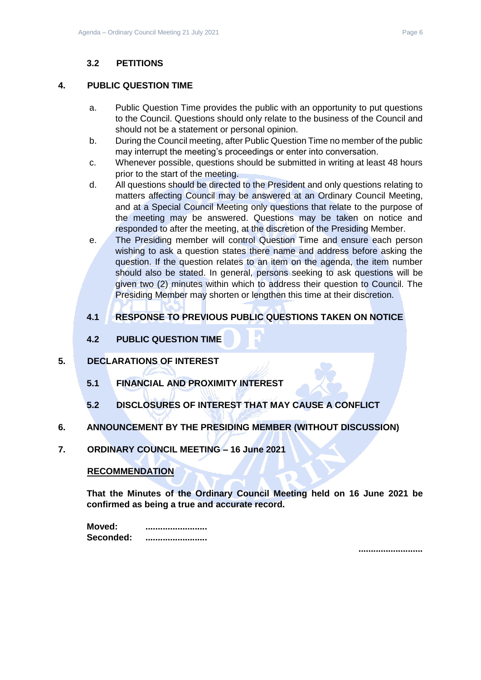# **3.2 PETITIONS**

# <span id="page-5-1"></span><span id="page-5-0"></span>**4. PUBLIC QUESTION TIME**

- a. Public Question Time provides the public with an opportunity to put questions to the Council. Questions should only relate to the business of the Council and should not be a statement or personal opinion.
- b. During the Council meeting, after Public Question Time no member of the public may interrupt the meeting's proceedings or enter into conversation.
- c. Whenever possible, questions should be submitted in writing at least 48 hours prior to the start of the meeting.
- d. All questions should be directed to the President and only questions relating to matters affecting Council may be answered at an Ordinary Council Meeting, and at a Special Council Meeting only questions that relate to the purpose of the meeting may be answered. Questions may be taken on notice and responded to after the meeting, at the discretion of the Presiding Member.
- e. The Presiding member will control Question Time and ensure each person wishing to ask a question states there name and address before asking the question. If the question relates to an item on the agenda, the item number should also be stated. In general, persons seeking to ask questions will be given two (2) minutes within which to address their question to Council. The Presiding Member may shorten or lengthen this time at their discretion.

# <span id="page-5-2"></span>**4.1 RESPONSE TO PREVIOUS PUBLIC QUESTIONS TAKEN ON NOTICE**

**4.2 PUBLIC QUESTION TIME**

# <span id="page-5-5"></span><span id="page-5-4"></span><span id="page-5-3"></span>**5. DECLARATIONS OF INTEREST**

- **5.1 FINANCIAL AND PROXIMITY INTEREST**
- **5.2 DISCLOSURES OF INTEREST THAT MAY CAUSE A CONFLICT**
- <span id="page-5-7"></span><span id="page-5-6"></span>**6. ANNOUNCEMENT BY THE PRESIDING MEMBER (WITHOUT DISCUSSION)**
- <span id="page-5-8"></span>**7. ORDINARY COUNCIL MEETING – 16 June 2021**

# **RECOMMENDATION**

**That the Minutes of the Ordinary Council Meeting held on 16 June 2021 be confirmed as being a true and accurate record.**

| Moved:    | ------------------------- |
|-----------|---------------------------|
| Seconded: |                           |

**..........................**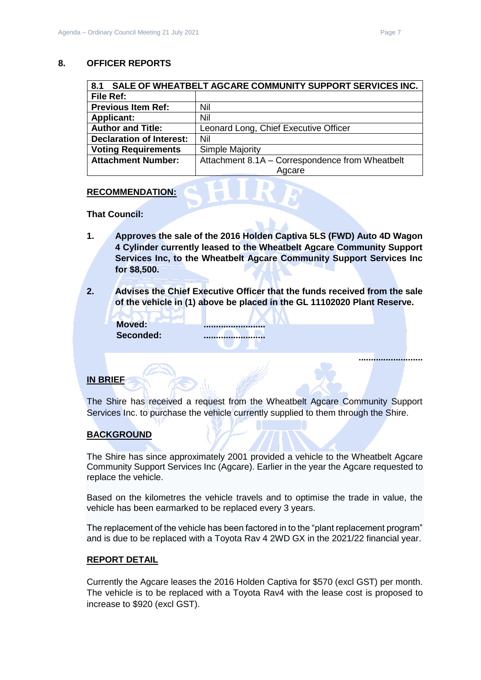#### <span id="page-6-0"></span>**8. OFFICER REPORTS**

<span id="page-6-1"></span>

| SALE OF WHEATBELT AGCARE COMMUNITY SUPPORT SERVICES INC.<br>8.1 |                                                 |  |
|-----------------------------------------------------------------|-------------------------------------------------|--|
| File Ref:                                                       |                                                 |  |
| <b>Previous Item Ref:</b>                                       | Nil                                             |  |
| <b>Applicant:</b>                                               | Nil                                             |  |
| <b>Author and Title:</b>                                        | Leonard Long, Chief Executive Officer           |  |
| <b>Declaration of Interest:</b>                                 | Nil                                             |  |
| <b>Voting Requirements</b>                                      | Simple Majority                                 |  |
| <b>Attachment Number:</b>                                       | Attachment 8.1A - Correspondence from Wheatbelt |  |
|                                                                 | Agcare                                          |  |

#### **RECOMMENDATION:**

**That Council:**

- **1. Approves the sale of the 2016 Holden Captiva 5LS (FWD) Auto 4D Wagon 4 Cylinder currently leased to the Wheatbelt Agcare Community Support Services Inc, to the Wheatbelt Agcare Community Support Services Inc for \$8,500.**
- **2. Advises the Chief Executive Officer that the funds received from the sale of the vehicle in (1) above be placed in the GL 11102020 Plant Reserve.**

| Moved:    |
|-----------|
| Seconded: |

**Moved: ......................... Seconded: .........................**

### **IN BRIEF**

The Shire has received a request from the Wheatbelt Agcare Community Support Services Inc. to purchase the vehicle currently supplied to them through the Shire.

#### **BACKGROUND**

The Shire has since approximately 2001 provided a vehicle to the Wheatbelt Agcare Community Support Services Inc (Agcare). Earlier in the year the Agcare requested to replace the vehicle.

Based on the kilometres the vehicle travels and to optimise the trade in value, the vehicle has been earmarked to be replaced every 3 years.

The replacement of the vehicle has been factored in to the "plant replacement program" and is due to be replaced with a Toyota Rav 4 2WD GX in the 2021/22 financial year.

#### **REPORT DETAIL**

Currently the Agcare leases the 2016 Holden Captiva for \$570 (excl GST) per month. The vehicle is to be replaced with a Toyota Rav4 with the lease cost is proposed to increase to \$920 (excl GST).

**..........................**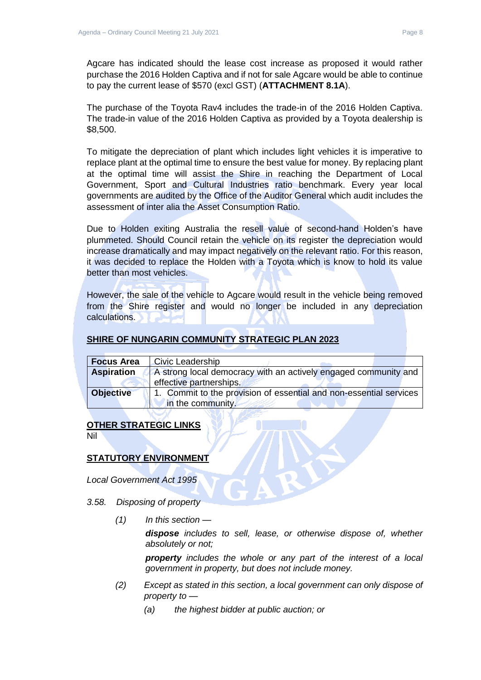The purchase of the Toyota Rav4 includes the trade-in of the 2016 Holden Captiva. The trade-in value of the 2016 Holden Captiva as provided by a Toyota dealership is \$8,500.

To mitigate the depreciation of plant which includes light vehicles it is imperative to replace plant at the optimal time to ensure the best value for money. By replacing plant at the optimal time will assist the Shire in reaching the Department of Local Government, Sport and Cultural Industries ratio benchmark. Every year local governments are audited by the Office of the Auditor General which audit includes the assessment of inter alia the Asset Consumption Ratio.

Due to Holden exiting Australia the resell value of second-hand Holden's have plummeted. Should Council retain the vehicle on its register the depreciation would increase dramatically and may impact negatively on the relevant ratio. For this reason, it was decided to replace the Holden with a Toyota which is know to hold its value better than most vehicles.

However, the sale of the vehicle to Agcare would result in the vehicle being removed from the Shire register and would no longer be included in any depreciation calculations.

# **SHIRE OF NUNGARIN COMMUNITY STRATEGIC PLAN 2023**

| <b>Focus Area</b> | Civic Leadership                                                                           |
|-------------------|--------------------------------------------------------------------------------------------|
| <b>Aspiration</b> | A strong local democracy with an actively engaged community and<br>effective partnerships. |
| <b>Objective</b>  | 1. Commit to the provision of essential and non-essential services<br>in the community.    |

# **OTHER STRATEGIC LINKS**

Nil

# **STATUTORY ENVIRONMENT**

*Local Government Act 1995*

- *3.58. Disposing of property*
	- *(1) In this section —*

*dispose includes to sell, lease, or otherwise dispose of, whether absolutely or not;*

*property includes the whole or any part of the interest of a local government in property, but does not include money.*

- *(2) Except as stated in this section, a local government can only dispose of property to —*
	- *(a) the highest bidder at public auction; or*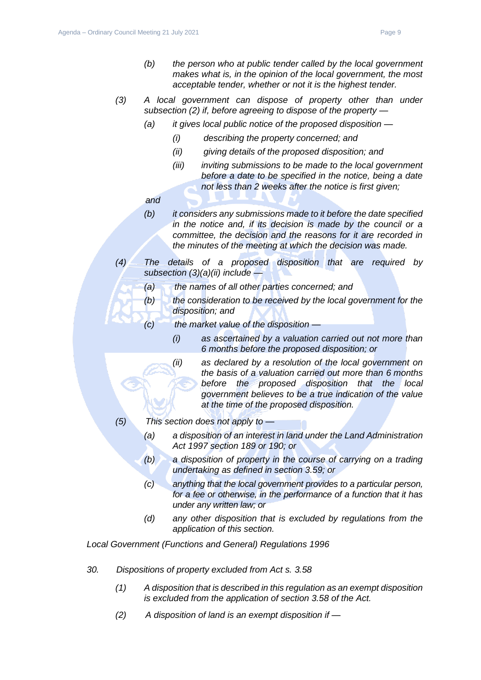- *(3) A local government can dispose of property other than under subsection (2) if, before agreeing to dispose of the property —*
	- *(a) it gives local public notice of the proposed disposition —*
		- *(i) describing the property concerned; and*
		- *(ii) giving details of the proposed disposition; and*
		- *(iii) inviting submissions to be made to the local government before a date to be specified in the notice, being a date not less than 2 weeks after the notice is first given;*
	- *and*
	- *(b) it considers any submissions made to it before the date specified in the notice and, if its decision is made by the council or a committee, the decision and the reasons for it are recorded in the minutes of the meeting at which the decision was made.*
- *(4) The details of a proposed disposition that are required by subsection (3)(a)(ii) include —*
	- *(a) the names of all other parties concerned; and*
	- *(b) the consideration to be received by the local government for the disposition; and*
		- *(c) the market value of the disposition —*
			- *(i) as ascertained by a valuation carried out not more than 6 months before the proposed disposition; or*
			- *(ii) as declared by a resolution of the local government on the basis of a valuation carried out more than 6 months before the proposed disposition that the local government believes to be a true indication of the value at the time of the proposed disposition.*
- *(5) This section does not apply to —*
	- *(a) a disposition of an interest in land under the Land Administration Act 1997 section 189 or 190; or*
	- *(b) a disposition of property in the course of carrying on a trading undertaking as defined in section 3.59; or*
	- *(c) anything that the local government provides to a particular person, for a fee or otherwise, in the performance of a function that it has under any written law; or*
	- *(d) any other disposition that is excluded by regulations from the application of this section.*

*Local Government (Functions and General) Regulations 1996*

- *30. Dispositions of property excluded from Act s. 3.58*
	- *(1) A disposition that is described in this regulation as an exempt disposition is excluded from the application of section 3.58 of the Act.*
	- *(2) A disposition of land is an exempt disposition if —*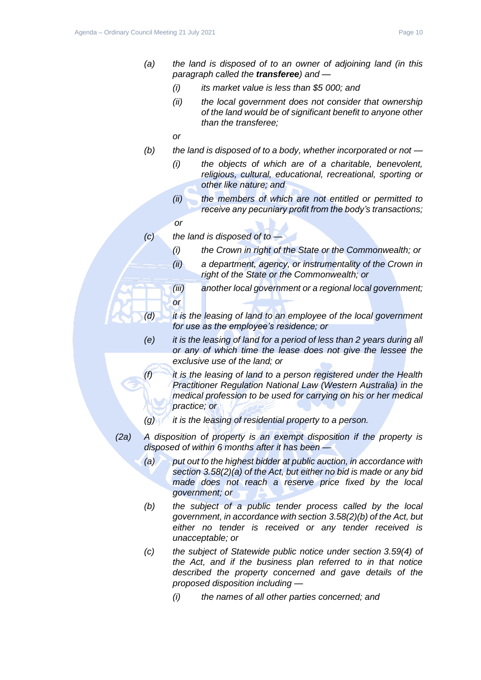- *(a) the land is disposed of to an owner of adjoining land (in this paragraph called the transferee) and —*
	- *(i) its market value is less than \$5 000; and*
	- *(ii) the local government does not consider that ownership of the land would be of significant benefit to anyone other than the transferee;*
	- *or*
- *(b) the land is disposed of to a body, whether incorporated or not —*
	- *(i) the objects of which are of a charitable, benevolent, religious, cultural, educational, recreational, sporting or other like nature; and*
	- *(ii) the members of which are not entitled or permitted to receive any pecuniary profit from the body's transactions;*
	- *or*
- *(c) the land is disposed of to —*
	- *(i) the Crown in right of the State or the Commonwealth; or*
	- *(ii) a department, agency, or instrumentality of the Crown in right of the State or the Commonwealth; or*
	- *(iii) another local government or a regional local government; or*
- *(d) it is the leasing of land to an employee of the local government for use as the employee's residence; or*
- *(e) it is the leasing of land for a period of less than 2 years during all or any of which time the lease does not give the lessee the exclusive use of the land; or*
- *(f) it is the leasing of land to a person registered under the Health Practitioner Regulation National Law (Western Australia) in the medical profession to be used for carrying on his or her medical practice; or*
- *(g) it is the leasing of residential property to a person.*
- *(2a) A disposition of property is an exempt disposition if the property is disposed of within 6 months after it has been —*
	- *(a) put out to the highest bidder at public auction, in accordance with section 3.58(2)(a) of the Act, but either no bid is made or any bid made does not reach a reserve price fixed by the local government; or*
	- *(b) the subject of a public tender process called by the local government, in accordance with section 3.58(2)(b) of the Act, but either no tender is received or any tender received is unacceptable; or*
	- *(c) the subject of Statewide public notice under section 3.59(4) of the Act, and if the business plan referred to in that notice described the property concerned and gave details of the proposed disposition including —*
		- *(i) the names of all other parties concerned; and*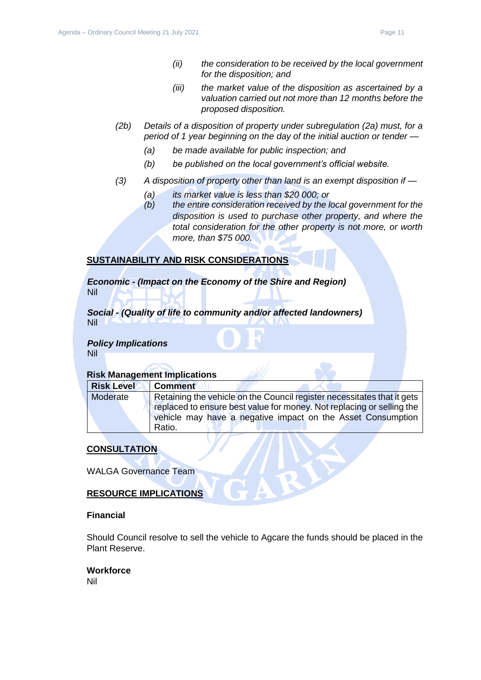- *(ii) the consideration to be received by the local government for the disposition; and*
- *(iii) the market value of the disposition as ascertained by a valuation carried out not more than 12 months before the proposed disposition.*
- *(2b) Details of a disposition of property under subregulation (2a) must, for a period of 1 year beginning on the day of the initial auction or tender —*
	- *(a) be made available for public inspection; and*
	- *(b) be published on the local government's official website.*
- *(3) A disposition of property other than land is an exempt disposition if —*
	- *(a) its market value is less than \$20 000; or*
	- *(b) the entire consideration received by the local government for the disposition is used to purchase other property, and where the total consideration for the other property is not more, or worth more, than \$75 000.*

# **SUSTAINABILITY AND RISK CONSIDERATIONS**

*Economic - (Impact on the Economy of the Shire and Region)* Nil

*Social - (Quality of life to community and/or affected landowners)* Nil

#### *Policy Implications* Nil

#### **Risk Management Implications**

| <b>Risk Level</b> | <b>Comment</b>                                                          |
|-------------------|-------------------------------------------------------------------------|
| Moderate          | Retaining the vehicle on the Council register necessitates that it gets |
|                   | replaced to ensure best value for money. Not replacing or selling the   |
|                   | vehicle may have a negative impact on the Asset Consumption             |
|                   | Ratio.                                                                  |

# **CONSULTATION**

WALGA Governance Team

# **RESOURCE IMPLICATIONS**

#### **Financial**

Should Council resolve to sell the vehicle to Agcare the funds should be placed in the Plant Reserve.

#### **Workforce**

Nil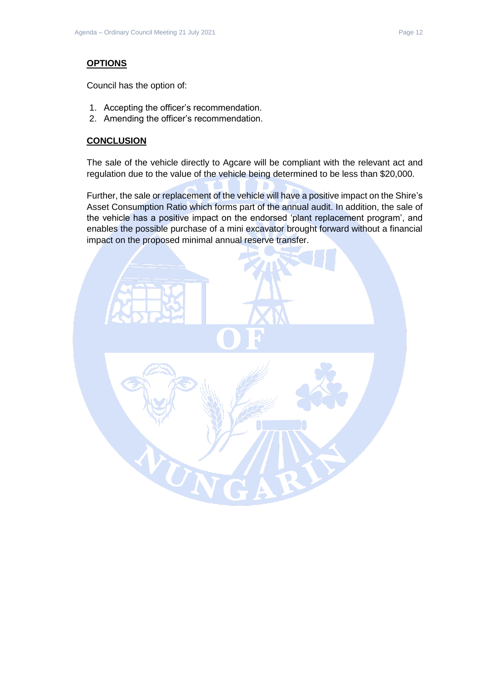#### **OPTIONS**

Council has the option of:

- 1. Accepting the officer's recommendation.
- 2. Amending the officer's recommendation.

#### **CONCLUSION**

The sale of the vehicle directly to Agcare will be compliant with the relevant act and regulation due to the value of the vehicle being determined to be less than \$20,000.

Further, the sale or replacement of the vehicle will have a positive impact on the Shire's Asset Consumption Ratio which forms part of the annual audit. In addition, the sale of the vehicle has a positive impact on the endorsed 'plant replacement program', and enables the possible purchase of a mini excavator brought forward without a financial impact on the proposed minimal annual reserve transfer.

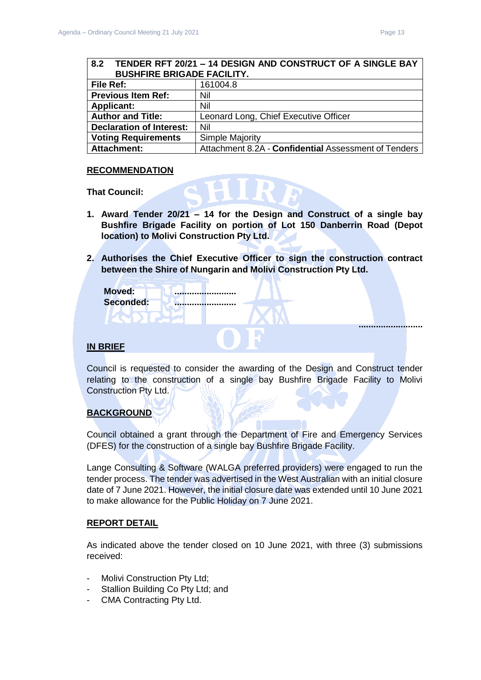<span id="page-12-0"></span>

| TENDER RFT 20/21 - 14 DESIGN AND CONSTRUCT OF A SINGLE BAY<br>8.2 |                                                      |  |
|-------------------------------------------------------------------|------------------------------------------------------|--|
| <b>BUSHFIRE BRIGADE FACILITY.</b>                                 |                                                      |  |
| File Ref:                                                         | 161004.8                                             |  |
| <b>Previous Item Ref:</b>                                         | Nil                                                  |  |
| <b>Applicant:</b>                                                 | Nil                                                  |  |
| <b>Author and Title:</b>                                          | Leonard Long, Chief Executive Officer                |  |
| <b>Declaration of Interest:</b>                                   | Nil                                                  |  |
| <b>Voting Requirements</b>                                        | <b>Simple Majority</b>                               |  |
| <b>Attachment:</b>                                                | Attachment 8.2A - Confidential Assessment of Tenders |  |

#### **RECOMMENDATION**

**That Council:**

- **1. Award Tender 20/21 – 14 for the Design and Construct of a single bay Bushfire Brigade Facility on portion of Lot 150 Danberrin Road (Depot location) to Molivi Construction Pty Ltd.**
- **2. Authorises the Chief Executive Officer to sign the construction contract between the Shire of Nungarin and Molivi Construction Pty Ltd.**

| <b>Moved:</b><br>Seconded: | <br> |  |
|----------------------------|------|--|
|                            |      |  |
| ----                       |      |  |

#### **IN BRIEF**

Council is requested to consider the awarding of the Design and Construct tender relating to the construction of a single bay Bushfire Brigade Facility to Molivi Construction Pty Ltd.

# **BACKGROUND**

Council obtained a grant through the Department of Fire and Emergency Services (DFES) for the construction of a single bay Bushfire Brigade Facility.

Lange Consulting & Software (WALGA preferred providers) were engaged to run the tender process. The tender was advertised in the West Australian with an initial closure date of 7 June 2021. However, the initial closure date was extended until 10 June 2021 to make allowance for the Public Holiday on 7 June 2021.

#### **REPORT DETAIL**

As indicated above the tender closed on 10 June 2021, with three (3) submissions received:

- Molivi Construction Pty Ltd;
- Stallion Building Co Pty Ltd; and
- CMA Contracting Pty Ltd.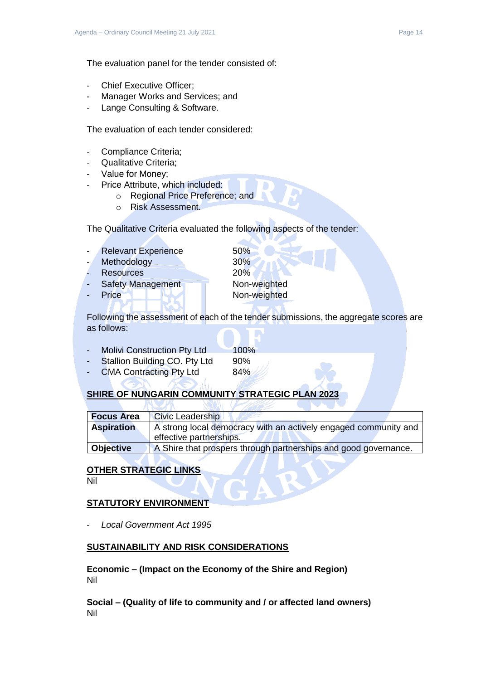The evaluation panel for the tender consisted of:

- Chief Executive Officer:
- Manager Works and Services; and
- Lange Consulting & Software.

The evaluation of each tender considered:

- Compliance Criteria;
- Qualitative Criteria;
- Value for Money;
- Price Attribute, which included:
	- o Regional Price Preference; and
	- o Risk Assessment.

The Qualitative Criteria evaluated the following aspects of the tender:

- Relevant Experience 50%
- Methodology 30%
- Resources 20%
- Safety Management Non-weighted
- 

Price Non-weighted

Following the assessment of each of the tender submissions, the aggregate scores are as follows:

- Molivi Construction Pty Ltd 100% Stallion Building CO. Pty Ltd 90%
- CMA Contracting Pty Ltd 84%

# **SHIRE OF NUNGARIN COMMUNITY STRATEGIC PLAN 202**

| <b>Focus Area</b> | <b>Civic Leadership</b>                                                                    |
|-------------------|--------------------------------------------------------------------------------------------|
| <b>Aspiration</b> | A strong local democracy with an actively engaged community and<br>effective partnerships. |
| <b>Objective</b>  | A Shire that prospers through partnerships and good governance.                            |

# **OTHER STRATEGIC LINKS**

Nil

# **STATUTORY ENVIRONMENT**

- *Local Government Act 1995*

# **SUSTAINABILITY AND RISK CONSIDERATIONS**

**Economic – (Impact on the Economy of the Shire and Region)** Nil

**Social – (Quality of life to community and / or affected land owners)** Nil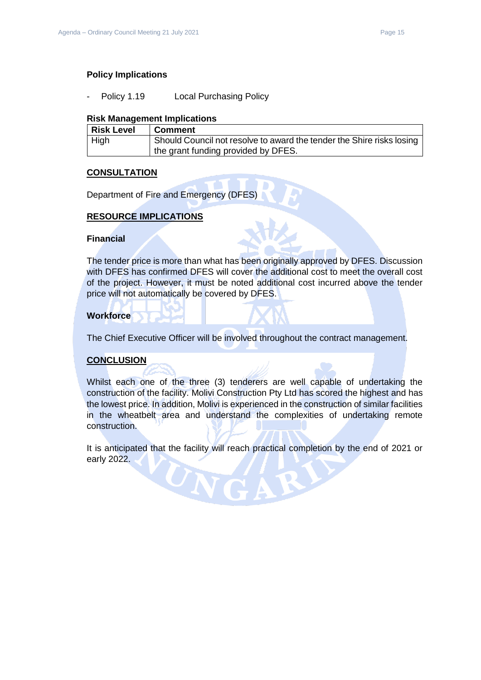#### **Policy Implications**

Policy 1.19 Local Purchasing Policy

#### **Risk Management Implications**

| Risk Level  | <b>Comment</b>                                                        |
|-------------|-----------------------------------------------------------------------|
| <b>High</b> | Should Council not resolve to award the tender the Shire risks losing |
|             | the grant funding provided by DFES.                                   |

#### **CONSULTATION**

Department of Fire and Emergency (DFES)

### **RESOURCE IMPLICATIONS**

#### **Financial**

The tender price is more than what has been originally approved by DFES. Discussion with DFES has confirmed DFES will cover the additional cost to meet the overall cost of the project. However, it must be noted additional cost incurred above the tender price will not automatically be covered by DFES.

#### **Workforce**

The Chief Executive Officer will be involved throughout the contract management.

#### **CONCLUSION**

Whilst each one of the three (3) tenderers are well capable of undertaking the construction of the facility. Molivi Construction Pty Ltd has scored the highest and has the lowest price. In addition, Molivi is experienced in the construction of similar facilities in the wheatbelt area and understand the complexities of undertaking remote construction.

It is anticipated that the facility will reach practical completion by the end of 2021 or early 2022.

UNG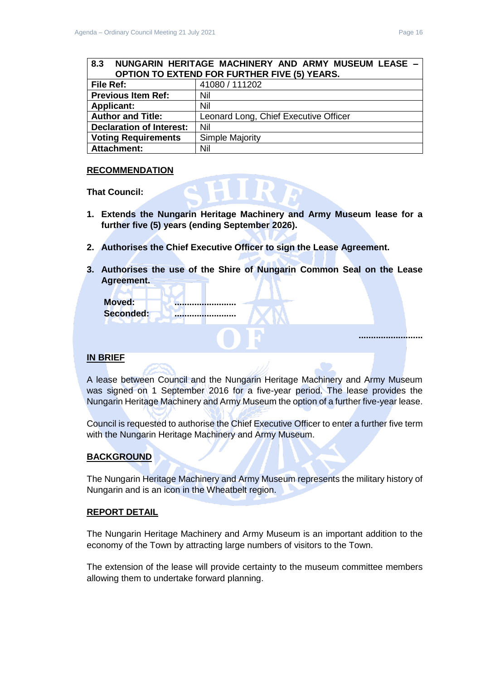<span id="page-15-0"></span>

| 8.3                                                               | NUNGARIN HERITAGE MACHINERY AND ARMY MUSEUM LEASE - |  |  |  |  |
|-------------------------------------------------------------------|-----------------------------------------------------|--|--|--|--|
|                                                                   | <b>OPTION TO EXTEND FOR FURTHER FIVE (5) YEARS.</b> |  |  |  |  |
| File Ref:                                                         | 41080 / 111202                                      |  |  |  |  |
| <b>Previous Item Ref:</b>                                         | Nil                                                 |  |  |  |  |
| <b>Applicant:</b><br>Nil                                          |                                                     |  |  |  |  |
| <b>Author and Title:</b><br>Leonard Long, Chief Executive Officer |                                                     |  |  |  |  |
| Nil<br><b>Declaration of Interest:</b>                            |                                                     |  |  |  |  |
| <b>Voting Requirements</b>                                        | Simple Majority                                     |  |  |  |  |
| <b>Attachment:</b>                                                | Nil                                                 |  |  |  |  |

#### **RECOMMENDATION**

**That Council:**

- **1. Extends the Nungarin Heritage Machinery and Army Museum lease for a further five (5) years (ending September 2026).**
- **2. Authorises the Chief Executive Officer to sign the Lease Agreement.**
- **3. Authorises the use of the Shire of Nungarin Common Seal on the Lease Agreement.**

| <b>Moved:</b><br>Seconded: | <br><u></u> |  |  |  |
|----------------------------|-------------|--|--|--|
|                            |             |  |  |  |

#### **IN BRIEF**

A lease between Council and the Nungarin Heritage Machinery and Army Museum was signed on 1 September 2016 for a five-year period. The lease provides the Nungarin Heritage Machinery and Army Museum the option of a further five-year lease.

Council is requested to authorise the Chief Executive Officer to enter a further five term with the Nungarin Heritage Machinery and Army Museum.

# **BACKGROUND**

The Nungarin Heritage Machinery and Army Museum represents the military history of Nungarin and is an icon in the Wheatbelt region.

#### **REPORT DETAIL**

The Nungarin Heritage Machinery and Army Museum is an important addition to the economy of the Town by attracting large numbers of visitors to the Town.

The extension of the lease will provide certainty to the museum committee members allowing them to undertake forward planning.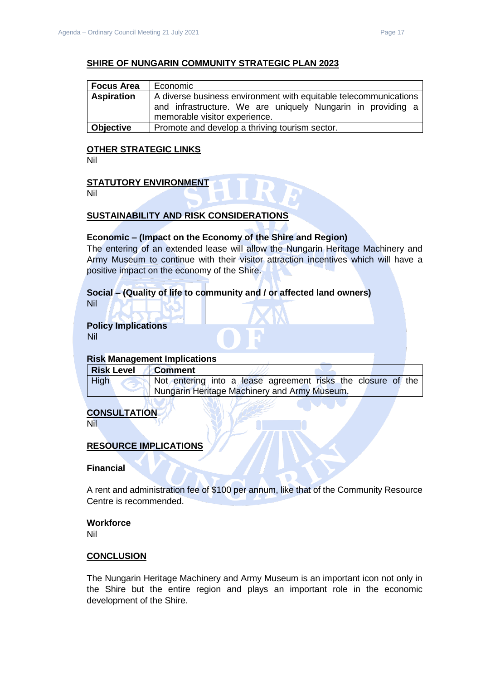# **SHIRE OF NUNGARIN COMMUNITY STRATEGIC PLAN 2023**

| Focus Area        | Economic                                                                                                                        |  |  |  |  |
|-------------------|---------------------------------------------------------------------------------------------------------------------------------|--|--|--|--|
| <b>Aspiration</b> | A diverse business environment with equitable telecommunications<br>and infrastructure. We are uniquely Nungarin in providing a |  |  |  |  |
|                   | memorable visitor experience.                                                                                                   |  |  |  |  |
| Objective         | Promote and develop a thriving tourism sector.                                                                                  |  |  |  |  |

#### **OTHER STRATEGIC LINKS**

Nil

#### **STATUTORY ENVIRONMENT**

Nil

# **SUSTAINABILITY AND RISK CONSIDERATIONS**

#### **Economic – (Impact on the Economy of the Shire and Region)**

The entering of an extended lease will allow the Nungarin Heritage Machinery and Army Museum to continue with their visitor attraction incentives which will have a positive impact on the economy of the Shire.

# **Social – (Quality of life to community and / or affected land owners)**

Nil

# **Policy Implications**

Nil

# **Risk Management Implications**

| <b>Risk Level</b>                            | <b>Comment</b>                                               |  |  |  |
|----------------------------------------------|--------------------------------------------------------------|--|--|--|
| High                                         | Not entering into a lease agreement risks the closure of the |  |  |  |
| Nungarin Heritage Machinery and Army Museum. |                                                              |  |  |  |

# **CONSULTATION**

Nil

#### **RESOURCE IMPLICATIONS**

**Financial**

A rent and administration fee of \$100 per annum, like that of the Community Resource Centre is recommended.

# **Workforce**

Nil

#### **CONCLUSION**

The Nungarin Heritage Machinery and Army Museum is an important icon not only in the Shire but the entire region and plays an important role in the economic development of the Shire.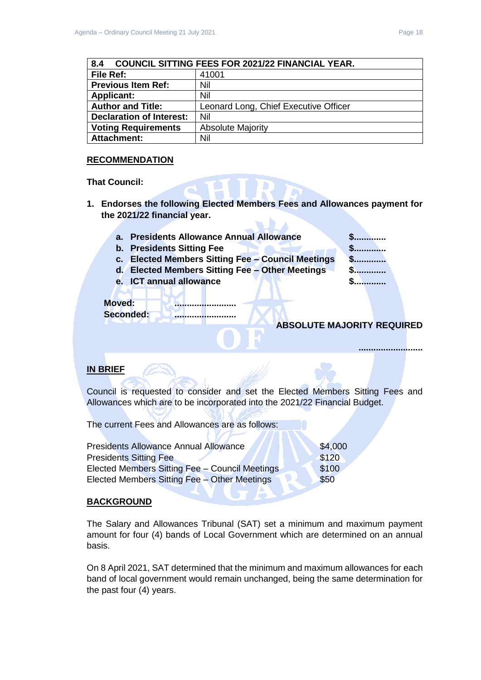<span id="page-17-0"></span>

| <b>COUNCIL SITTING FEES FOR 2021/22 FINANCIAL YEAR.</b><br>8.4 |                                       |  |  |
|----------------------------------------------------------------|---------------------------------------|--|--|
| File Ref:                                                      | 41001                                 |  |  |
| <b>Previous Item Ref:</b>                                      | Nil                                   |  |  |
| <b>Applicant:</b>                                              | Nil                                   |  |  |
| <b>Author and Title:</b>                                       | Leonard Long, Chief Executive Officer |  |  |
| <b>Declaration of Interest:</b>                                | Nil                                   |  |  |
| <b>Voting Requirements</b>                                     | <b>Absolute Majority</b>              |  |  |
| Attachment:                                                    | Nil                                   |  |  |

# **RECOMMENDATION**

#### **That Council:**

**1. Endorses the following Elected Members Fees and Allowances payment for the 2021/22 financial year. THE** 

| а.            | <b>Presidents Allowance Annual Allowance</b>          |                                   |  |  |
|---------------|-------------------------------------------------------|-----------------------------------|--|--|
|               | b. Presidents Sitting Fee                             |                                   |  |  |
| C.            | <b>Elected Members Sitting Fee - Council Meetings</b> |                                   |  |  |
|               | d. Elected Members Sitting Fee - Other Meetings       |                                   |  |  |
| е.            | <b>ICT annual allowance</b>                           |                                   |  |  |
|               |                                                       |                                   |  |  |
| <b>Moved:</b> |                                                       |                                   |  |  |
|               | Seconded:                                             |                                   |  |  |
|               |                                                       | <b>ABSOLUTE MAJORITY REQUIRED</b> |  |  |
|               |                                                       |                                   |  |  |
|               |                                                       |                                   |  |  |
|               |                                                       |                                   |  |  |

# **IN BRIEF**

Council is requested to consider and set the Elected Members Sitting Fees and Allowances which are to be incorporated into the 2021/22 Financial Budget.

**STATISTICS** 

The current Fees and Allowances are as follows:

| <b>Presidents Allowance Annual Allowance</b>   | \$4,000 |
|------------------------------------------------|---------|
| <b>Presidents Sitting Fee</b>                  | \$120   |
| Elected Members Sitting Fee - Council Meetings | \$100   |
| Elected Members Sitting Fee - Other Meetings   | \$50    |
|                                                |         |

 $\sqrt{ }$ 

#### **BACKGROUND**

The Salary and Allowances Tribunal (SAT) set a minimum and maximum payment amount for four (4) bands of Local Government which are determined on an annual basis.

UTA

On 8 April 2021, SAT determined that the minimum and maximum allowances for each band of local government would remain unchanged, being the same determination for the past four (4) years.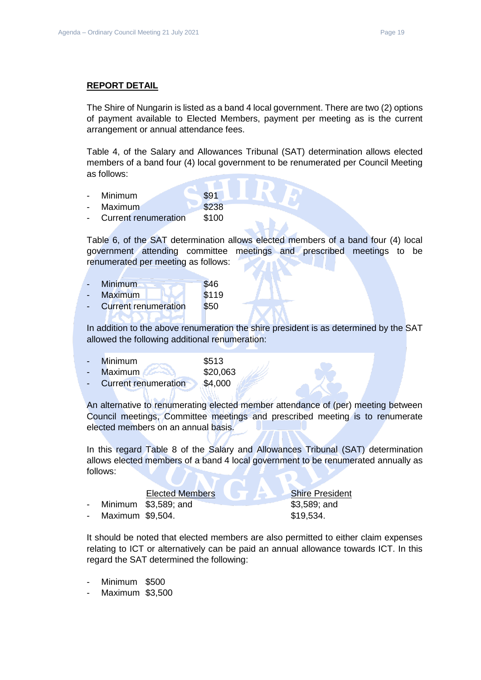#### **REPORT DETAIL**

The Shire of Nungarin is listed as a band 4 local government. There are two (2) options of payment available to Elected Members, payment per meeting as is the current arrangement or annual attendance fees.

Table 4, of the Salary and Allowances Tribunal (SAT) determination allows elected members of a band four (4) local government to be renumerated per Council Meeting as follows:

- Minimum \$91
- Maximum \$238
- Current renumeration \$100

Table 6, of the SAT determination allows elected members of a band four (4) local government attending committee meetings and prescribed meetings to be renumerated per meeting as follows:

| <b>Minimum</b>       | \$46       |
|----------------------|------------|
| <b>Maximum</b>       | \$119      |
| Currant ronumeration | $C E \cap$ |

Current renumeration \$50

In addition to the above renumeration the shire president is as determined by the SAT allowed the following additional renumeration:

|  | Minimum |  | \$513 |
|--|---------|--|-------|
|--|---------|--|-------|

| Maximum                     | \$20,063 |
|-----------------------------|----------|
| <b>Current renumeration</b> | \$4,000  |

An alternative to renumerating elected member attendance of (per) meeting between Council meetings, Committee meetings and prescribed meeting is to renumerate elected members on an annual basis.

In this regard Table 8 of the Salary and Allowances Tribunal (SAT) determination allows elected members of a band 4 local government to be renumerated annually as follows:

# Elected Members Shire President

- Minimum \$3,589; and \$3,589; and \$3,589; and
- Maximum \$9,504. \$19,534.

It should be noted that elected members are also permitted to either claim expenses relating to ICT or alternatively can be paid an annual allowance towards ICT. In this regard the SAT determined the following:

- Minimum \$500
- Maximum \$3,500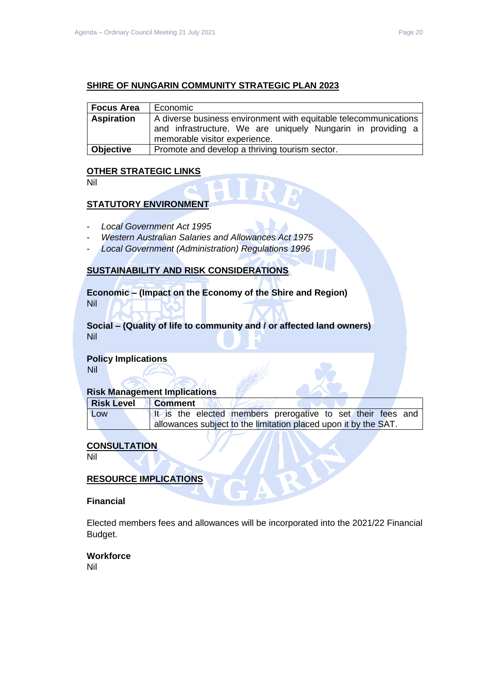## **SHIRE OF NUNGARIN COMMUNITY STRATEGIC PLAN 2023**

| Focus Area        | Economic                                                                                                                                                         |  |
|-------------------|------------------------------------------------------------------------------------------------------------------------------------------------------------------|--|
| <b>Aspiration</b> | A diverse business environment with equitable telecommunications<br>and infrastructure. We are uniquely Nungarin in providing a<br>memorable visitor experience. |  |
| <b>Objective</b>  | Promote and develop a thriving tourism sector.                                                                                                                   |  |

#### **OTHER STRATEGIC LINKS**

Nil

### **STATUTORY ENVIRONMENT**

- *Local Government Act 1995*
- *Western Australian Salaries and Allowances Act 1975*
- *Local Government (Administration) Regulations 1996*

# **SUSTAINABILITY AND RISK CONSIDERATIONS**

**Economic – (Impact on the Economy of the Shire and Region)** Nil

**Social – (Quality of life to community and / or affected land owners)** Nil

# **Policy Implications**

Nil

#### **Risk Management Implications**

| Risk Level | <b>Comment</b>                                                  |  |  |  |
|------------|-----------------------------------------------------------------|--|--|--|
| Low        | It is the elected members prerogative to set their fees and     |  |  |  |
|            | allowances subject to the limitation placed upon it by the SAT. |  |  |  |

# **CONSULTATION**

Nil

#### **RESOURCE IMPLICATIONS**

#### **Financial**

Elected members fees and allowances will be incorporated into the 2021/22 Financial Budget.

# **Workforce**

Nil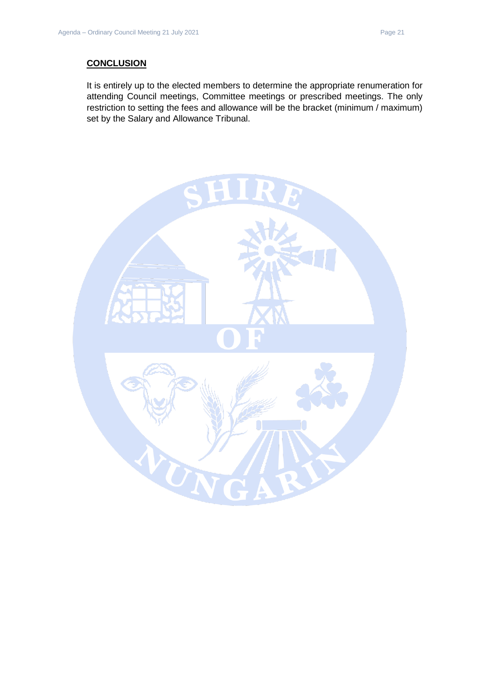## **CONCLUSION**

It is entirely up to the elected members to determine the appropriate renumeration for attending Council meetings, Committee meetings or prescribed meetings. The only restriction to setting the fees and allowance will be the bracket (minimum / maximum) set by the Salary and Allowance Tribunal.

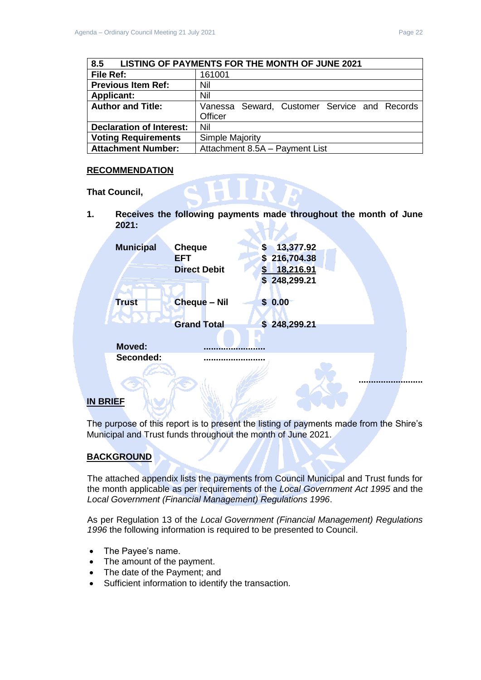<span id="page-21-0"></span>

| 8.5                             | LISTING OF PAYMENTS FOR THE MONTH OF JUNE 2021 |  |
|---------------------------------|------------------------------------------------|--|
| File Ref:                       | 161001                                         |  |
| <b>Previous Item Ref:</b>       | Nil                                            |  |
| <b>Applicant:</b>               | Nil                                            |  |
| <b>Author and Title:</b>        | Vanessa Seward, Customer Service and Records   |  |
|                                 | Officer                                        |  |
| <b>Declaration of Interest:</b> | Nil                                            |  |
| <b>Voting Requirements</b>      | <b>Simple Majority</b>                         |  |
| <b>Attachment Number:</b>       | Attachment 8.5A - Payment List                 |  |

### **RECOMMENDATION**

**That Council,** 

**1. Receives the following payments made throughout the month of June 2021:**

| <b>Municipal</b> | <b>Cheque</b>       | S      | 13,377.92    |  |
|------------------|---------------------|--------|--------------|--|
|                  | <b>EFT</b>          | \$.    | 216,704.38   |  |
|                  | <b>Direct Debit</b> | \$.    | 18,216.91    |  |
|                  |                     |        | \$248,299.21 |  |
| <b>Trust</b>     | <b>Cheque - Nil</b> | \$0.00 |              |  |
|                  |                     |        |              |  |
|                  | <b>Grand Total</b>  |        | \$248,299.21 |  |
|                  |                     |        |              |  |
| <b>Moved:</b>    |                     |        |              |  |
| Seconded:        |                     |        |              |  |
|                  |                     |        |              |  |
|                  |                     |        |              |  |
|                  |                     |        |              |  |

# **IN BRIEF**

The purpose of this report is to present the listing of payments made from the Shire's Municipal and Trust funds throughout the month of June 2021.

# **BACKGROUND**

The attached appendix lists the payments from Council Municipal and Trust funds for the month applicable as per requirements of the *Local Government Act 1995* and the *Local Government (Financial Management) Regulations 1996*.

As per Regulation 13 of the *Local Government (Financial Management) Regulations 1996* the following information is required to be presented to Council.

- The Payee's name.
- The amount of the payment.
- The date of the Payment; and
- Sufficient information to identify the transaction.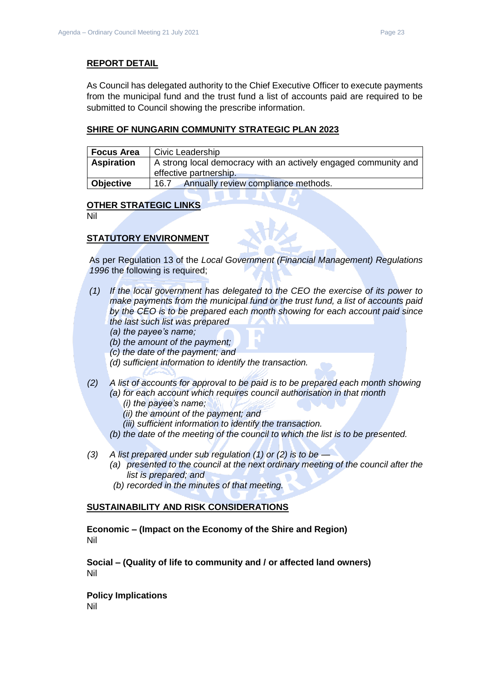### **REPORT DETAIL**

As Council has delegated authority to the Chief Executive Officer to execute payments from the municipal fund and the trust fund a list of accounts paid are required to be submitted to Council showing the prescribe information.

### **SHIRE OF NUNGARIN COMMUNITY STRATEGIC PLAN 2023**

| <b>Focus Area</b> | Civic Leadership                                                                          |
|-------------------|-------------------------------------------------------------------------------------------|
| <b>Aspiration</b> | A strong local democracy with an actively engaged community and<br>effective partnership. |
| <b>Objective</b>  | Annually review compliance methods.<br>16.7                                               |

#### **OTHER STRATEGIC LINKS**

Nil

# **STATUTORY ENVIRONMENT**

As per Regulation 13 of the *Local Government (Financial Management) Regulations 1996* the following is required;

- *(1) If the local government has delegated to the CEO the exercise of its power to make payments from the municipal fund or the trust fund, a list of accounts paid by the CEO is to be prepared each month showing for each account paid since the last such list was prepared* 
	- *(a) the payee's name;*
	- *(b) the amount of the payment;*
	- *(c) the date of the payment; and*
	- *(d) sufficient information to identify the transaction.*
- *(2) A list of accounts for approval to be paid is to be prepared each month showing (a) for each account which requires council authorisation in that month* 
	- *(i) the payee's name;*
	- *(ii) the amount of the payment; and*
	- *(iii) sufficient information to identify the transaction.*
	- *(b) the date of the meeting of the council to which the list is to be presented.*
- *(3) A list prepared under sub regulation (1) or (2) is to be —*
	- *(a) presented to the council at the next ordinary meeting of the council after the list is prepared; and*
	- *(b) recorded in the minutes of that meeting.*

#### **SUSTAINABILITY AND RISK CONSIDERATIONS**

**Economic – (Impact on the Economy of the Shire and Region)** Nil

**Social – (Quality of life to community and / or affected land owners)** Nil

**Policy Implications** Nil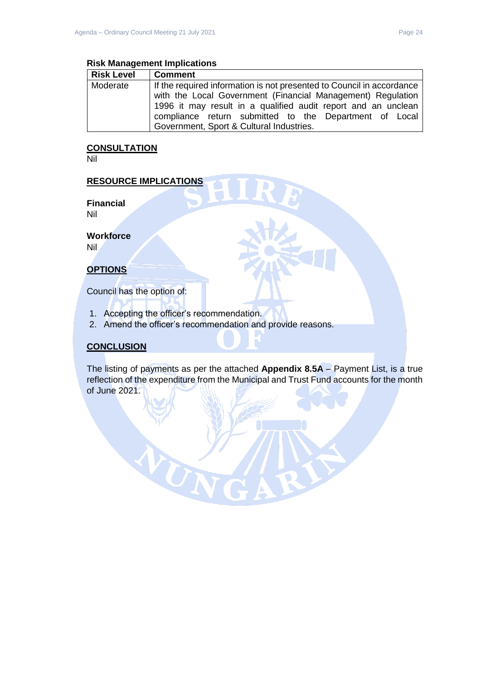#### **Risk Management Implications**

| <b>Risk Level</b> | <b>Comment</b>                                                        |
|-------------------|-----------------------------------------------------------------------|
| Moderate          | If the required information is not presented to Council in accordance |
|                   | with the Local Government (Financial Management) Regulation           |
|                   | 1996 it may result in a qualified audit report and an unclean         |
|                   | compliance return submitted to the Department of Local                |
|                   | Government, Sport & Cultural Industries.                              |

# **CONSULTATION**

Nil

### **RESOURCE IMPLICATIONS**

**Financial** Nil

**Workforce**

Nil

# **OPTIONS**

Council has the option of:

1. Accepting the officer's recommendation.

W

2. Amend the officer's recommendation and provide reasons.

# **CONCLUSION**

The listing of payments as per the attached **Appendix 8.5A** – Payment List, is a true reflection of the expenditure from the Municipal and Trust Fund accounts for the month of June 2021.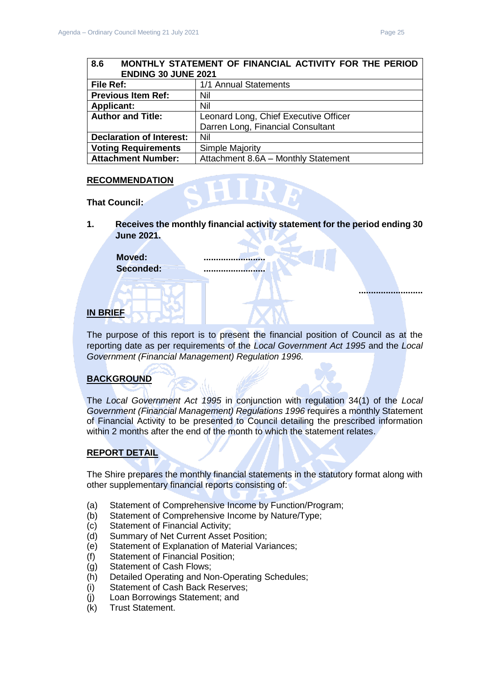**..........................**

# <span id="page-24-0"></span>**8.6 MONTHLY STATEMENT OF FINANCIAL ACTIVITY FOR THE PERIOD ENDING 30 JUNE 2021 File Ref:** 1/1 Annual Statements<br>**Previous Item Ref:** Nij **Previous Item Ref:**

|                                 | .                                     |  |
|---------------------------------|---------------------------------------|--|
| <b>Applicant:</b>               | Nil                                   |  |
| <b>Author and Title:</b>        | Leonard Long, Chief Executive Officer |  |
|                                 | Darren Long, Financial Consultant     |  |
| <b>Declaration of Interest:</b> | Nil                                   |  |
| <b>Voting Requirements</b>      | Simple Majority                       |  |
| <b>Attachment Number:</b>       | Attachment 8.6A - Monthly Statement   |  |

# **RECOMMENDATION**

**That Council:**

**1. Receives the monthly financial activity statement for the period ending 30 June 2021.**

Moved: **Seconded: .........................**

# **IN BRIEF**

The purpose of this report is to present the financial position of Council as at the reporting date as per requirements of the *Local Government Act 1995* and the *Local Government (Financial Management) Regulation 1996.*

# **BACKGROUND**

The *Local Government Act 1995* in conjunction with regulation 34(1) of the *Local Government (Financial Management) Regulations 1996* requires a monthly Statement of Financial Activity to be presented to Council detailing the prescribed information within 2 months after the end of the month to which the statement relates.

# **REPORT DETAIL**

The Shire prepares the monthly financial statements in the statutory format along with other supplementary financial reports consisting of:

- (a) Statement of Comprehensive Income by Function/Program;
- (b) Statement of Comprehensive Income by Nature/Type;
- (c) Statement of Financial Activity;
- (d) Summary of Net Current Asset Position;
- (e) Statement of Explanation of Material Variances;
- (f) Statement of Financial Position;
- (g) Statement of Cash Flows;
- (h) Detailed Operating and Non-Operating Schedules;
- (i) Statement of Cash Back Reserves;
- (j) Loan Borrowings Statement; and
- (k) Trust Statement.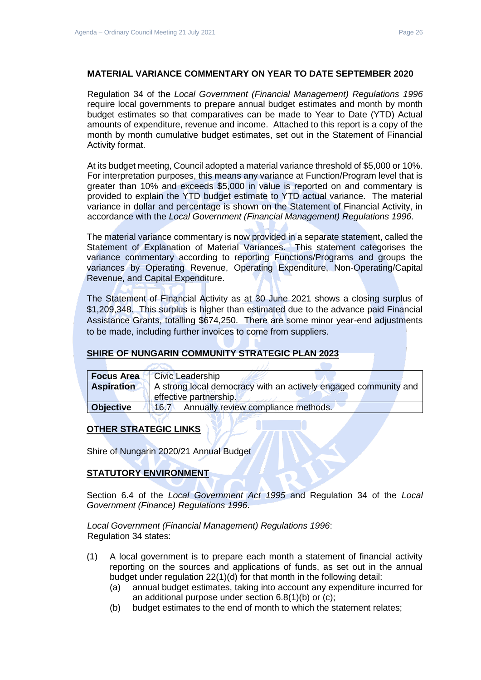### **MATERIAL VARIANCE COMMENTARY ON YEAR TO DATE SEPTEMBER 2020**

Regulation 34 of the *Local Government (Financial Management) Regulations 1996*  require local governments to prepare annual budget estimates and month by month budget estimates so that comparatives can be made to Year to Date (YTD) Actual amounts of expenditure, revenue and income. Attached to this report is a copy of the month by month cumulative budget estimates, set out in the Statement of Financial Activity format.

At its budget meeting, Council adopted a material variance threshold of \$5,000 or 10%. For interpretation purposes, this means any variance at Function/Program level that is greater than 10% and exceeds \$5,000 in value is reported on and commentary is provided to explain the YTD budget estimate to YTD actual variance. The material variance in dollar and percentage is shown on the Statement of Financial Activity, in accordance with the *Local Government (Financial Management) Regulations 1996*.

The material variance commentary is now provided in a separate statement, called the Statement of Explanation of Material Variances. This statement categorises the variance commentary according to reporting Functions/Programs and groups the variances by Operating Revenue, Operating Expenditure, Non-Operating/Capital Revenue, and Capital Expenditure.

The Statement of Financial Activity as at 30 June 2021 shows a closing surplus of \$1,209,348. This surplus is higher than estimated due to the advance paid Financial Assistance Grants, totalling \$674,250. There are some minor year-end adjustments to be made, including further invoices to come from suppliers.

#### **SHIRE OF NUNGARIN COMMUNITY STRATEGIC PLAN 2023**

| <b>Focus Area</b> | <b>Civic Leadership</b>                                                                   |
|-------------------|-------------------------------------------------------------------------------------------|
| <b>Aspiration</b> | A strong local democracy with an actively engaged community and<br>effective partnership. |
| <b>Objective</b>  | Annually review compliance methods.<br>146.7                                              |

# **OTHER STRATEGIC LINKS**

Shire of Nungarin 2020/21 Annual Budget

# **STATUTORY ENVIRONMENT**

Section 6.4 of the *Local Government Act 1995* and Regulation 34 of the *Local Government (Finance) Regulations 1996*.

*Local Government (Financial Management) Regulations 1996*: Regulation 34 states:

- (1) A local government is to prepare each month a statement of financial activity reporting on the sources and applications of funds, as set out in the annual budget under regulation 22(1)(d) for that month in the following detail:
	- (a) annual budget estimates, taking into account any expenditure incurred for an additional purpose under section 6.8(1)(b) or (c);
	- (b) budget estimates to the end of month to which the statement relates;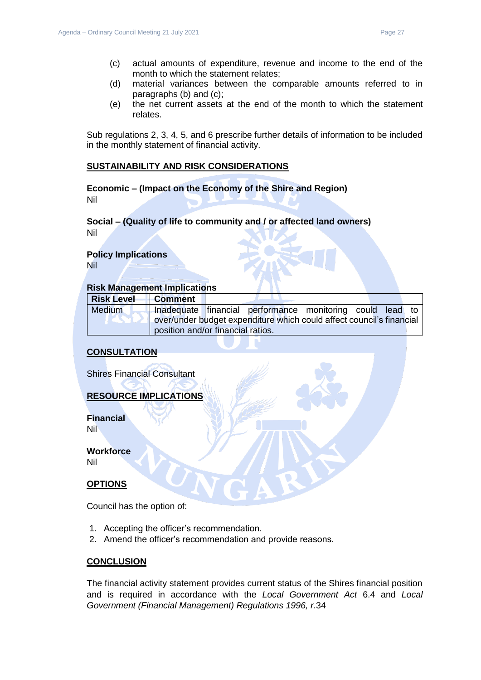- (c) actual amounts of expenditure, revenue and income to the end of the month to which the statement relates;
- (d) material variances between the comparable amounts referred to in paragraphs (b) and (c);
- (e) the net current assets at the end of the month to which the statement relates.

Sub regulations 2, 3, 4, 5, and 6 prescribe further details of information to be included in the monthly statement of financial activity.

#### **SUSTAINABILITY AND RISK CONSIDERATIONS**

**Economic – (Impact on the Economy of the Shire and Region)** Nil

#### **Social – (Quality of life to community and / or affected land owners)** Nil

# **Policy Implications**

Nil

#### **Risk Management Implications**

| <b>Risk Level</b> | <b>Comment</b>                    |                                                                      |  |  |
|-------------------|-----------------------------------|----------------------------------------------------------------------|--|--|
| Medium            |                                   | Inadequate financial performance monitoring could lead to            |  |  |
|                   |                                   | over/under budget expenditure which could affect council's financial |  |  |
|                   | position and/or financial ratios. |                                                                      |  |  |

### **CONSULTATION**

Shires Financial Consultant

#### **RESOURCE IMPLICATIONS**

**Financial** Nil

**Workforce**

Nil

#### **OPTIONS**

Council has the option of:

- 1. Accepting the officer's recommendation.
- 2. Amend the officer's recommendation and provide reasons.

#### **CONCLUSION**

The financial activity statement provides current status of the Shires financial position and is required in accordance with the *Local Government Act* 6.4 and *Local Government (Financial Management) Regulations 1996, r.*34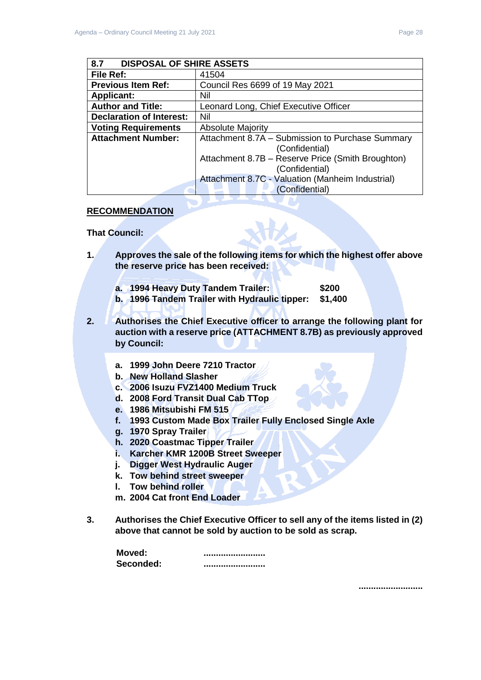<span id="page-27-0"></span>

| <b>DISPOSAL OF SHIRE ASSETS</b><br>8.7 |                                                                     |
|----------------------------------------|---------------------------------------------------------------------|
| File Ref:                              | 41504                                                               |
| <b>Previous Item Ref:</b>              | Council Res 6699 of 19 May 2021                                     |
| <b>Applicant:</b>                      | Nil                                                                 |
| <b>Author and Title:</b>               | Leonard Long, Chief Executive Officer                               |
| <b>Declaration of Interest:</b>        | Nil                                                                 |
| <b>Voting Requirements</b>             | <b>Absolute Majority</b>                                            |
| <b>Attachment Number:</b>              | Attachment 8.7A - Submission to Purchase Summary<br>(Confidential)  |
|                                        | Attachment 8.7B - Reserve Price (Smith Broughton)<br>(Confidential) |
|                                        | Attachment 8.7C - Valuation (Manheim Industrial)<br>(Confidential)  |

# **RECOMMENDATION**

#### **That Council:**

**1. Approves the sale of the following items for which the highest offer above the reserve price has been received:**

| a. 1994 Heavy Duty Tandem Trailer:            | \$200   |
|-----------------------------------------------|---------|
| b. 1996 Tandem Trailer with Hydraulic tipper: | \$1,400 |

- **2. Authorises the Chief Executive officer to arrange the following plant for auction with a reserve price (ATTACHMENT 8.7B) as previously approved by Council:**
	- **a. 1999 John Deere 7210 Tractor**
	- **b. New Holland Slasher**
	- **c. 2006 Isuzu FVZ1400 Medium Truck**
	- **d. 2008 Ford Transit Dual Cab TTop**
	- **e. 1986 Mitsubishi FM 515**
	- **f. 1993 Custom Made Box Trailer Fully Enclosed Single Axle**
	- **g. 1970 Spray Trailer**
	- **h. 2020 Coastmac Tipper Trailer**
	- **i. Karcher KMR 1200B Street Sweeper**
	- **j. Digger West Hydraulic Auger**
	- **k. Tow behind street sweeper**
	- **l. Tow behind roller**
	- **m. 2004 Cat front End Loader**
- **3. Authorises the Chief Executive Officer to sell any of the items listed in (2) above that cannot be sold by auction to be sold as scrap.**

| Moved:    |  |
|-----------|--|
| Seconded: |  |

**..........................**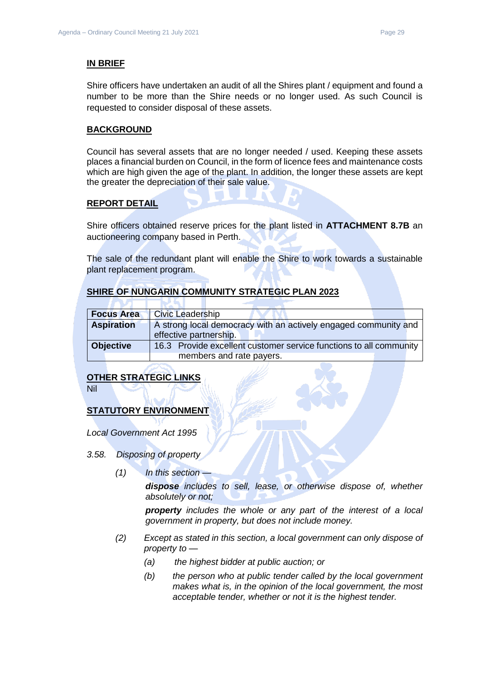#### **IN BRIEF**

Shire officers have undertaken an audit of all the Shires plant / equipment and found a number to be more than the Shire needs or no longer used. As such Council is requested to consider disposal of these assets.

### **BACKGROUND**

Council has several assets that are no longer needed / used. Keeping these assets places a financial burden on Council, in the form of licence fees and maintenance costs which are high given the age of the plant. In addition, the longer these assets are kept the greater the depreciation of their sale value.

### **REPORT DETAIL**

Shire officers obtained reserve prices for the plant listed in **ATTACHMENT 8.7B** an auctioneering company based in Perth.

The sale of the redundant plant will enable the Shire to work towards a sustainable plant replacement program.

# **SHIRE OF NUNGARIN COMMUNITY STRATEGIC PLAN 2023**

| <b>Focus Area</b> | <b>Civic Leadership</b>                                                                   |
|-------------------|-------------------------------------------------------------------------------------------|
| <b>Aspiration</b> | A strong local democracy with an actively engaged community and<br>effective partnership. |
| <b>Objective</b>  | 16.3 Provide excellent customer service functions to all community                        |
|                   | members and rate payers.                                                                  |

#### **OTHER STRATEGIC LINKS**

Nil

# **STATUTORY ENVIRONMENT**

*Local Government Act 1995*

- *3.58. Disposing of property*
	- *(1) In this section —*

*dispose includes to sell, lease, or otherwise dispose of, whether absolutely or not;*

*property includes the whole or any part of the interest of a local government in property, but does not include money.*

- *(2) Except as stated in this section, a local government can only dispose of property to —*
	- *(a) the highest bidder at public auction; or*
	- *(b) the person who at public tender called by the local government makes what is, in the opinion of the local government, the most acceptable tender, whether or not it is the highest tender.*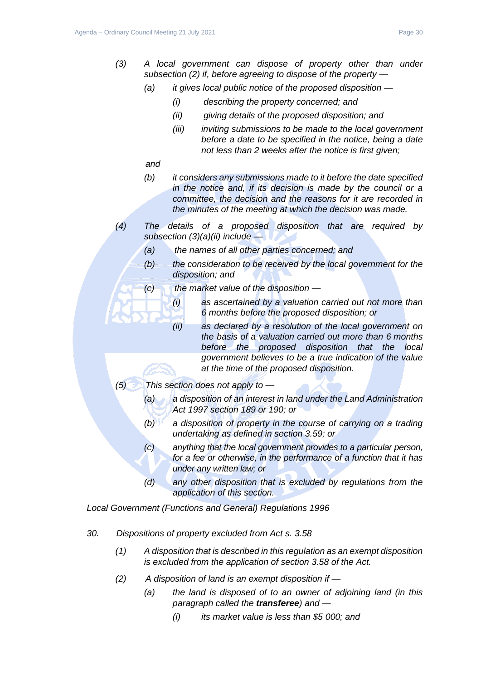- *(3) A local government can dispose of property other than under subsection (2) if, before agreeing to dispose of the property —*
	- *(a) it gives local public notice of the proposed disposition —*
		- *(i) describing the property concerned; and*
		- *(ii) giving details of the proposed disposition; and*
		- *(iii) inviting submissions to be made to the local government before a date to be specified in the notice, being a date not less than 2 weeks after the notice is first given;*
	- *and*
	- *(b) it considers any submissions made to it before the date specified in the notice and, if its decision is made by the council or a committee, the decision and the reasons for it are recorded in the minutes of the meeting at which the decision was made.*
- *(4) The details of a proposed disposition that are required by subsection (3)(a)(ii) include —*
	- *(a) the names of all other parties concerned; and*
	- *(b) the consideration to be received by the local government for the disposition; and*
	- *(c) the market value of the disposition —*
		- *(i) as ascertained by a valuation carried out not more than 6 months before the proposed disposition; or*
		- *(ii) as declared by a resolution of the local government on the basis of a valuation carried out more than 6 months before the proposed disposition that the local government believes to be a true indication of the value at the time of the proposed disposition.*
- *(5) This section does not apply to —*
	- *(a) a disposition of an interest in land under the Land Administration Act 1997 section 189 or 190; or*
	- *(b) a disposition of property in the course of carrying on a trading undertaking as defined in section 3.59; or*
	- *(c) anything that the local government provides to a particular person, for a fee or otherwise, in the performance of a function that it has under any written law; or*
	- *(d) any other disposition that is excluded by regulations from the application of this section.*

*Local Government (Functions and General) Regulations 1996*

- *30. Dispositions of property excluded from Act s. 3.58*
	- *(1) A disposition that is described in this regulation as an exempt disposition is excluded from the application of section 3.58 of the Act.*
	- *(2) A disposition of land is an exempt disposition if —*
		- *(a) the land is disposed of to an owner of adjoining land (in this paragraph called the transferee) and —*
			- *(i) its market value is less than \$5 000; and*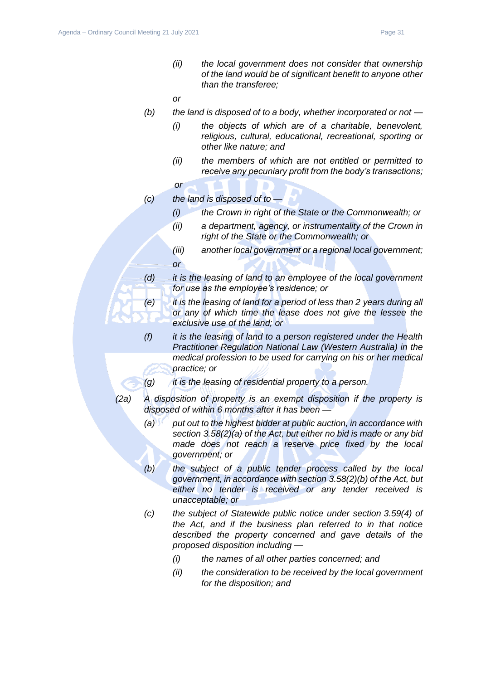*(ii) the local government does not consider that ownership of the land would be of significant benefit to anyone other than the transferee;*

*or*

- *(b) the land is disposed of to a body, whether incorporated or not —*
	- *(i) the objects of which are of a charitable, benevolent, religious, cultural, educational, recreational, sporting or other like nature; and*
	- *(ii) the members of which are not entitled or permitted to receive any pecuniary profit from the body's transactions;*
	- *or*
- *(c) the land is disposed of to —*
	- *(i) the Crown in right of the State or the Commonwealth; or*
	- *(ii) a department, agency, or instrumentality of the Crown in right of the State or the Commonwealth; or*
	- *(iii) another local government or a regional local government; or*
- *(d) it is the leasing of land to an employee of the local government for use as the employee's residence; or*
- *(e) it is the leasing of land for a period of less than 2 years during all or any of which time the lease does not give the lessee the exclusive use of the land; or*
- *(f) it is the leasing of land to a person registered under the Health Practitioner Regulation National Law (Western Australia) in the medical profession to be used for carrying on his or her medical practice; or*
- *(g) it is the leasing of residential property to a person.*
- *(2a) A disposition of property is an exempt disposition if the property is disposed of within 6 months after it has been —*
	- *(a) put out to the highest bidder at public auction, in accordance with section 3.58(2)(a) of the Act, but either no bid is made or any bid made does not reach a reserve price fixed by the local government; or*
	- *(b) the subject of a public tender process called by the local government, in accordance with section 3.58(2)(b) of the Act, but either no tender is received or any tender received is unacceptable; or*
	- *(c) the subject of Statewide public notice under section 3.59(4) of the Act, and if the business plan referred to in that notice described the property concerned and gave details of the proposed disposition including —*
		- *(i) the names of all other parties concerned; and*
		- *(ii) the consideration to be received by the local government for the disposition; and*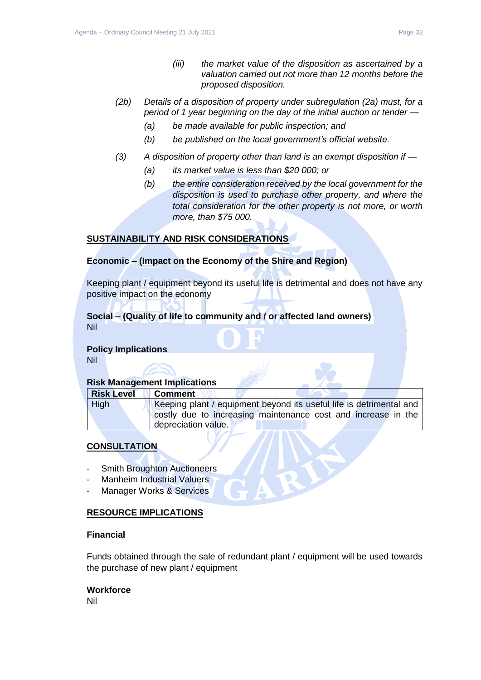- *(2b) Details of a disposition of property under subregulation (2a) must, for a period of 1 year beginning on the day of the initial auction or tender —*
	- *(a) be made available for public inspection; and*
	- *(b) be published on the local government's official website.*
- *(3) A disposition of property other than land is an exempt disposition if —*
	- *(a) its market value is less than \$20 000; or*
	- *(b) the entire consideration received by the local government for the disposition is used to purchase other property, and where the total consideration for the other property is not more, or worth more, than \$75 000.*

# **SUSTAINABILITY AND RISK CONSIDERATIONS**

# **Economic – (Impact on the Economy of the Shire and Region)**

Keeping plant / equipment beyond its useful life is detrimental and does not have any positive impact on the economy

# **Social – (Quality of life to community and / or affected land owners)** Nil

# **Policy Implications**

Nil

# **Risk Management Implications**

| <b>Risk Level</b> | <b>Comment</b>                                                      |
|-------------------|---------------------------------------------------------------------|
| <b>High</b>       | Keeping plant / equipment beyond its useful life is detrimental and |
|                   | costly due to increasing maintenance cost and increase in the       |
|                   | depreciation value.                                                 |

# **CONSULTATION**

- **Smith Broughton Auctioneers**
- Manheim Industrial Valuers
- Manager Works & Services

# **RESOURCE IMPLICATIONS**

### **Financial**

Funds obtained through the sale of redundant plant / equipment will be used towards the purchase of new plant / equipment

#### **Workforce**

Nil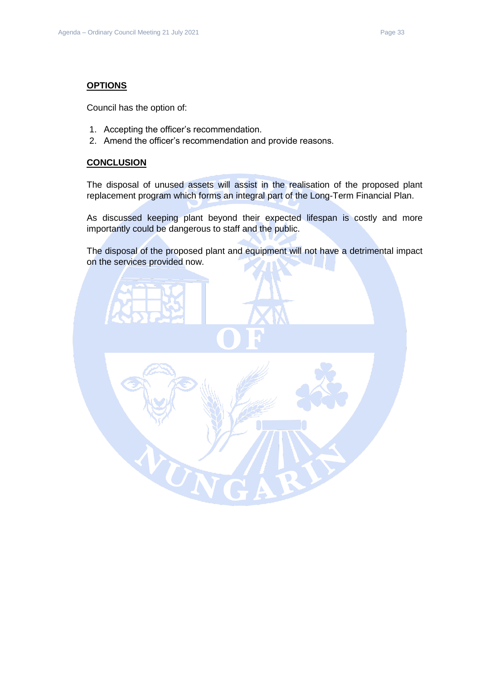# **OPTIONS**

Council has the option of:

- 1. Accepting the officer's recommendation.
- 2. Amend the officer's recommendation and provide reasons.

#### **CONCLUSION**

The disposal of unused assets will assist in the realisation of the proposed plant replacement program which forms an integral part of the Long-Term Financial Plan.

As discussed keeping plant beyond their expected lifespan is costly and more importantly could be dangerous to staff and the public.

The disposal of the proposed plant and equipment will not have a detrimental impact on the services provided now.

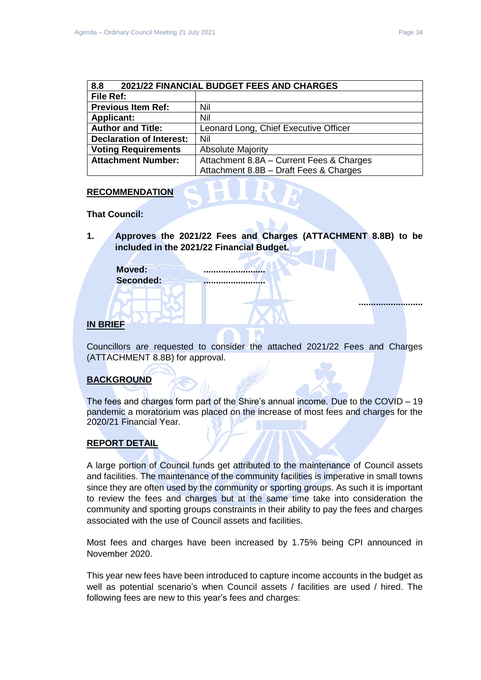**..........................**

<span id="page-33-0"></span>

| 2021/22 FINANCIAL BUDGET FEES AND CHARGES<br>8.8 |                                          |  |
|--------------------------------------------------|------------------------------------------|--|
| File Ref:                                        |                                          |  |
| <b>Previous Item Ref:</b>                        | Nil                                      |  |
| <b>Applicant:</b>                                | Nil                                      |  |
| <b>Author and Title:</b>                         | Leonard Long, Chief Executive Officer    |  |
| <b>Declaration of Interest:</b>                  | Nil                                      |  |
| <b>Voting Requirements</b>                       | <b>Absolute Majority</b>                 |  |
| <b>Attachment Number:</b>                        | Attachment 8.8A - Current Fees & Charges |  |
|                                                  | Attachment 8.8B - Draft Fees & Charges   |  |

## **RECOMMENDATION**

**That Council:** 

**1. Approves the 2021/22 Fees and Charges (ATTACHMENT 8.8B) to be included in the 2021/22 Financial Budget.**

**Moved: ......................... Seconded: .........................**

# **IN BRIEF**

Councillors are requested to consider the attached 2021/22 Fees and Charges (ATTACHMENT 8.8B) for approval.

# **BACKGROUND**

The fees and charges form part of the Shire's annual income. Due to the COVID – 19 pandemic a moratorium was placed on the increase of most fees and charges for the 2020/21 Financial Year.

# **REPORT DETAIL**

A large portion of Council funds get attributed to the maintenance of Council assets and facilities. The maintenance of the community facilities is imperative in small towns since they are often used by the community or sporting groups. As such it is important to review the fees and charges but at the same time take into consideration the community and sporting groups constraints in their ability to pay the fees and charges associated with the use of Council assets and facilities.

Most fees and charges have been increased by 1.75% being CPI announced in November 2020.

This year new fees have been introduced to capture income accounts in the budget as well as potential scenario's when Council assets / facilities are used / hired. The following fees are new to this year's fees and charges: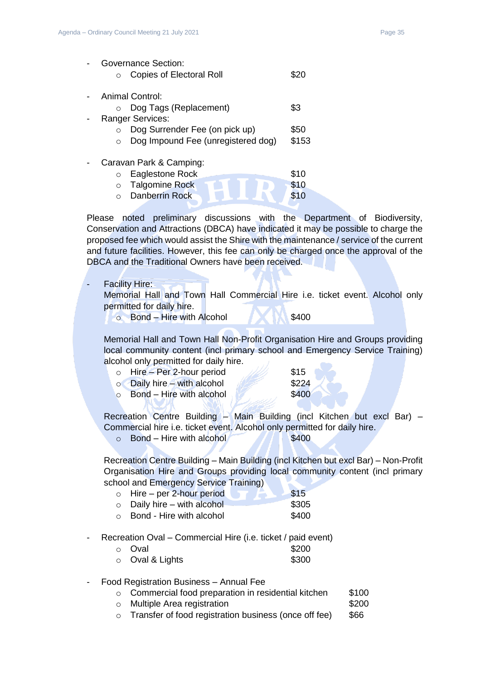|         | Governance Section:                |       |
|---------|------------------------------------|-------|
| $\circ$ | <b>Copies of Electoral Roll</b>    |       |
|         |                                    |       |
|         | <b>Animal Control:</b>             |       |
|         | Dog Tags (Replacement)             | \$3   |
|         | <b>Ranger Services:</b>            |       |
|         | Dog Surrender Fee (on pick up)     | \$50  |
|         | Dog Impound Fee (unregistered dog) | \$153 |
|         |                                    |       |
|         | Caravan Park & Camping:            |       |
| O       | Eaglestone Rock                    | \$10  |
| $\circ$ | <b>Talgomine Rock</b>              | \$10  |
| ∩       | Danberrin Rock                     | \$10  |
|         |                                    |       |

Please noted preliminary discussions with the Department of Biodiversity, Conservation and Attractions (DBCA) have indicated it may be possible to charge the proposed fee which would assist the Shire with the maintenance / service of the current and future facilities. However, this fee can only be charged once the approval of the DBCA and the Traditional Owners have been received.

**Facility Hire:** 

Memorial Hall and Town Hall Commercial Hire i.e. ticket event. Alcohol only permitted for daily hire.

o Bond – Hire with Alcohol **\$400** 

Memorial Hall and Town Hall Non-Profit Organisation Hire and Groups providing local community content (incl primary school and Emergency Service Training) alcohol only permitted for daily hire.

- o Hire Per 2-hour period  $\frac{1}{2}$  \$15
- $\circ$  Daily hire with alcohol  $\sqrt{224}$
- $\circ$  Bond Hire with alcohol  $\sqrt{3400}$

Recreation Centre Building - Main Building (incl Kitchen but excl Bar) -Commercial hire i.e. ticket event. Alcohol only permitted for daily hire.

 $\circ$  Bond – Hire with alcohol  $\sim$  \$400

Recreation Centre Building – Main Building (incl Kitchen but excl Bar) – Non-Profit Organisation Hire and Groups providing local community content (incl primary school and Emergency Service Training)

- $\circ$  Hire per 2-hour period  $\bullet$   $\bullet$  \$15
- $\circ$  Daily hire with alcohol  $$305$
- o Bond Hire with alcohol \$400
- Recreation Oval Commercial Hire (i.e. ticket / paid event)

| ⊙ Oval                | \$200 |
|-----------------------|-------|
| $\circ$ Oval & Lights | \$300 |

- Food Registration Business Annual Fee
	- o Commercial food preparation in residential kitchen \$100
	- o Multiple Area registration **\$200**
	- $\circ$  Transfer of food registration business (once off fee)  $$66$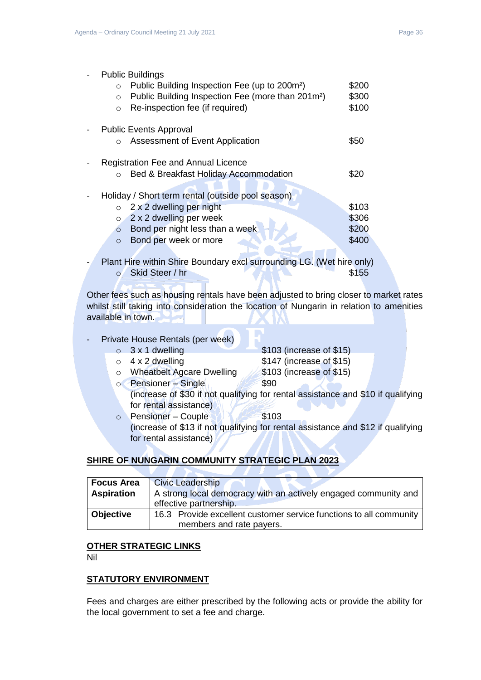| <b>Public Buildings</b>                                                  |       |
|--------------------------------------------------------------------------|-------|
| Public Building Inspection Fee (up to 200m <sup>2</sup> )<br>$\circ$     | \$200 |
| Public Building Inspection Fee (more than 201m <sup>2</sup> )<br>$\circ$ | \$300 |
| Re-inspection fee (if required)<br>$\circ$                               | \$100 |
| <b>Public Events Approval</b>                                            |       |
| Assessment of Event Application<br>$\circ$                               | \$50  |
| <b>Registration Fee and Annual Licence</b>                               |       |
| Bed & Breakfast Holiday Accommodation<br>$\circ$                         | \$20  |
| Holiday / Short term rental (outside pool season)                        |       |
| 2 x 2 dwelling per night<br>$\circ$                                      | \$103 |
| 2 x 2 dwelling per week<br>$\circ$                                       | \$306 |
| Bond per night less than a week<br>$\circ$                               | \$200 |
| Bond per week or more<br>$\circ$                                         | \$400 |
|                                                                          |       |
| Plant Hire within Shire Boundary excl surrounding LG. (Wet hire only)    |       |

o Skid Steer / hr \$155 Other fees such as housing rentals have been adjusted to bring closer to market rates

whilst still taking into consideration the location of Nungarin in relation to amenities available in town.

- Private House Rentals (per week)
	-
	-

 $\circ$  3 x 1 dwelling  $\bullet$  \$103 (increase of \$15)  $\circ$  4 x 2 dwelling  $$147$  (increase of \$15) o Wheatbelt Agcare Dwelling \$103 (increase of \$15)

- $\circ$  Pensioner Single  $\bullet$  \$90 (increase of \$30 if not qualifying for rental assistance and \$10 if qualifying for rental assistance)
- o Pensioner Couple 1 \$103 (increase of \$13 if not qualifying for rental assistance and \$12 if qualifying for rental assistance)

# **SHIRE OF NUNGARIN COMMUNITY STRATEGIC PLAN 2023**

| Focus Area        | <b>Civic Leadership</b>                                            |  |
|-------------------|--------------------------------------------------------------------|--|
| <b>Aspiration</b> | A strong local democracy with an actively engaged community and    |  |
|                   | effective partnership.                                             |  |
| <b>Objective</b>  | 16.3 Provide excellent customer service functions to all community |  |
|                   | members and rate payers.                                           |  |

#### **OTHER STRATEGIC LINKS**

Nil

# **STATUTORY ENVIRONMENT**

Fees and charges are either prescribed by the following acts or provide the ability for the local government to set a fee and charge.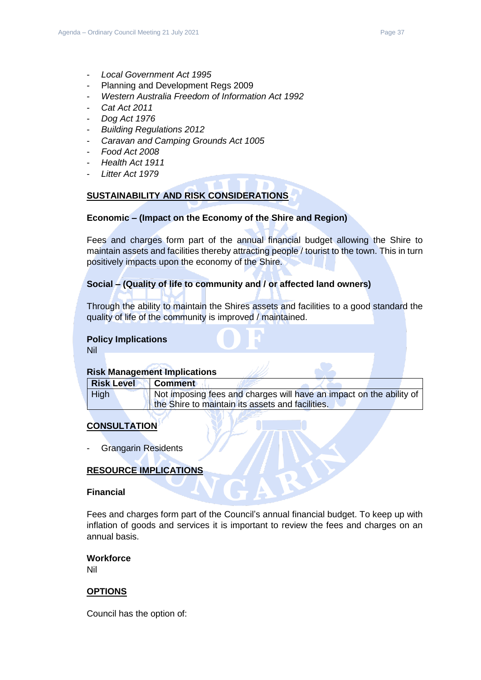- *Local Government Act 1995*
- Planning and Development Regs 2009
- *Western Australia Freedom of Information Act 1992*
- *Cat Act 2011*
- *Dog Act 1976*
- *Building Regulations 2012*
- *Caravan and Camping Grounds Act 1005*
- *Food Act 2008*
- *Health Act 1911*
- *Litter Act 1979*

# **SUSTAINABILITY AND RISK CONSIDERATIONS**

# **Economic – (Impact on the Economy of the Shire and Region)**

Fees and charges form part of the annual financial budget allowing the Shire to maintain assets and facilities thereby attracting people / tourist to the town. This in turn positively impacts upon the economy of the Shire.

# **Social – (Quality of life to community and / or affected land owners)**

Through the ability to maintain the Shires assets and facilities to a good standard the quality of life of the community is improved / maintained.

#### **Policy Implications**

Nil

# **Risk Management Implications**

| <b>Risk Level</b> | Comment                                                             |
|-------------------|---------------------------------------------------------------------|
| <b>High</b>       | Not imposing fees and charges will have an impact on the ability of |
|                   | the Shire to maintain its assets and facilities.                    |

# **CONSULTATION**

**Grangarin Residents** 

# **RESOURCE IMPLICATIONS**

#### **Financial**

Fees and charges form part of the Council's annual financial budget. To keep up with inflation of goods and services it is important to review the fees and charges on an annual basis.

# **Workforce**

Nil

# **OPTIONS**

Council has the option of: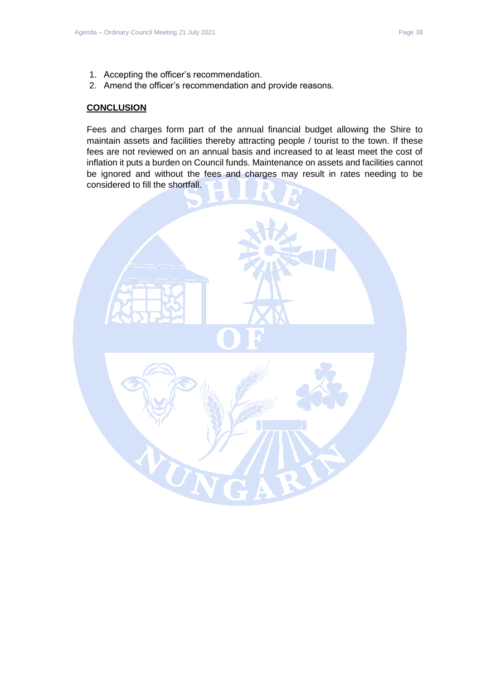- 1. Accepting the officer's recommendation.
- 2. Amend the officer's recommendation and provide reasons.

## **CONCLUSION**

Fees and charges form part of the annual financial budget allowing the Shire to maintain assets and facilities thereby attracting people / tourist to the town. If these fees are not reviewed on an annual basis and increased to at least meet the cost of inflation it puts a burden on Council funds. Maintenance on assets and facilities cannot be ignored and without the fees and charges may result in rates needing to be considered to fill the shortfall.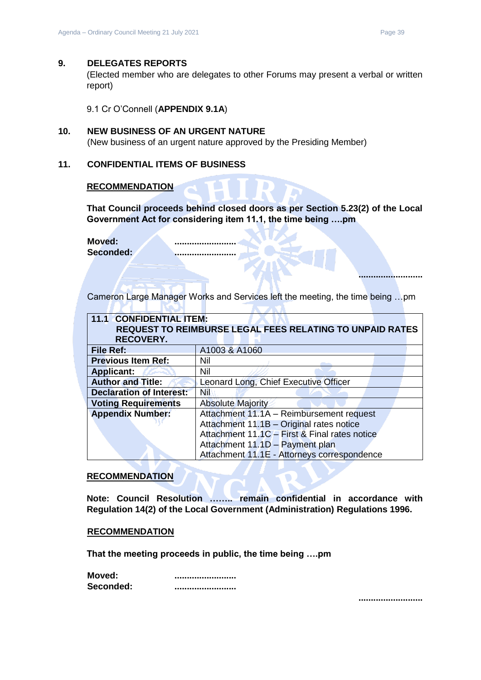#### <span id="page-38-0"></span>**9. DELEGATES REPORTS**

(Elected member who are delegates to other Forums may present a verbal or written report)

9.1 Cr O'Connell (**APPENDIX 9.1A**)

# <span id="page-38-2"></span><span id="page-38-1"></span>**10. NEW BUSINESS OF AN URGENT NATURE**

(New business of an urgent nature approved by the Presiding Member)

#### <span id="page-38-3"></span>**11. CONFIDENTIAL ITEMS OF BUSINESS**

<span id="page-38-5"></span>**I MAN** 

#### **RECOMMENDATION**

**That Council proceeds behind closed doors as per Section 5.23(2) of the Local Government Act for considering item 11.1, the time being ….pm** 

**Moved: ......................... Seconded: .........................**

Cameron Large Manager Works and Services left the meeting, the time being …pm

 $\sqrt{2}$ 

<span id="page-38-4"></span>

| <b>11.1 CONFIDENTIAL ITEM:</b>                                  |                                               |  |
|-----------------------------------------------------------------|-----------------------------------------------|--|
| <b>REQUEST TO REIMBURSE LEGAL FEES RELATING TO UNPAID RATES</b> |                                               |  |
| <b>RECOVERY.</b>                                                |                                               |  |
| File Ref:                                                       | A1003 & A1060                                 |  |
| <b>Previous Item Ref:</b>                                       | Nil                                           |  |
| <b>Applicant:</b>                                               | Nil                                           |  |
| <b>Author and Title:</b>                                        | Leonard Long, Chief Executive Officer         |  |
| <b>Declaration of Interest:</b>                                 | Nil                                           |  |
| <b>Voting Requirements</b>                                      | <b>Absolute Majority</b>                      |  |
| <b>Appendix Number:</b>                                         | Attachment 11.1A - Reimbursement request      |  |
|                                                                 | Attachment 11.1B - Original rates notice      |  |
|                                                                 | Attachment 11.1C - First & Final rates notice |  |
| Attachment 11.1D - Payment plan                                 |                                               |  |
|                                                                 | Attachment 11.1E - Attorneys correspondence   |  |

#### **RECOMMENDATION**

**Note: Council Resolution …….. remain confidential in accordance with Regulation 14(2) of the Local Government (Administration) Regulations 1996.**

#### **RECOMMENDATION**

**That the meeting proceeds in public, the time being ….pm** 

| Moved:    |  |
|-----------|--|
| Seconded: |  |

**..........................**

**..........................**